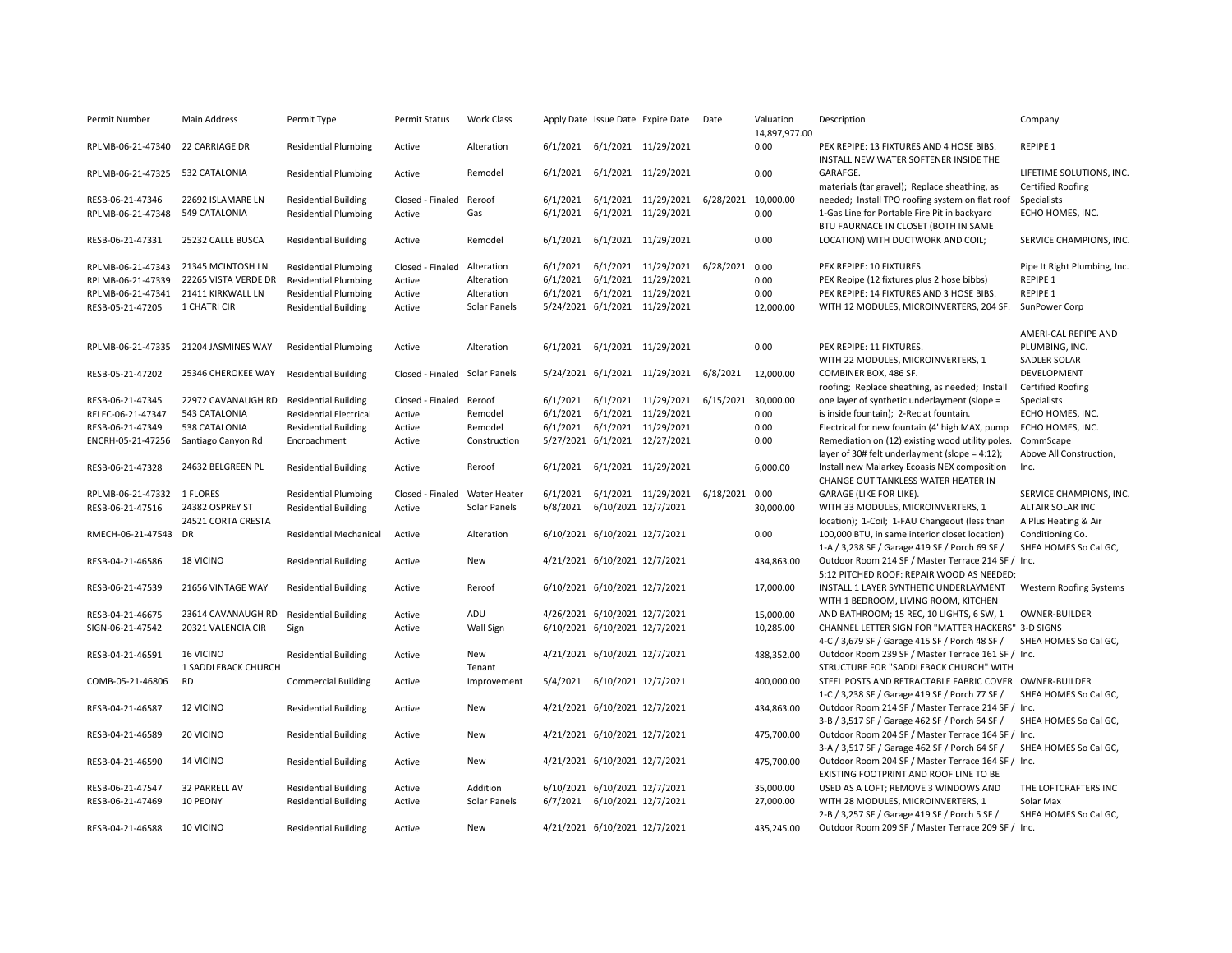| Permit Number                    | <b>Main Address</b>                    | Permit Type                   | Permit Status                 | <b>Work Class</b> |                               | Apply Date Issue Date Expire Date Date           |                     | Valuation<br>14,897,977.00 | Description                                                                         | Company                                              |
|----------------------------------|----------------------------------------|-------------------------------|-------------------------------|-------------------|-------------------------------|--------------------------------------------------|---------------------|----------------------------|-------------------------------------------------------------------------------------|------------------------------------------------------|
| RPLMB-06-21-47340 22 CARRIAGE DR |                                        | <b>Residential Plumbing</b>   | Active                        | Alteration        |                               | 6/1/2021 6/1/2021 11/29/2021                     |                     | 0.00                       | PEX REPIPE: 13 FIXTURES AND 4 HOSE BIBS.<br>INSTALL NEW WATER SOFTENER INSIDE THE   | <b>REPIPE 1</b>                                      |
| RPLMB-06-21-47325 532 CATALONIA  |                                        | <b>Residential Plumbing</b>   | Active                        | Remodel           |                               | 6/1/2021 6/1/2021 11/29/2021                     |                     | 0.00                       | GARAFGE.<br>materials (tar gravel); Replace sheathing, as                           | LIFETIME SOLUTIONS, INC.<br><b>Certified Roofing</b> |
| RESB-06-21-47346                 | 22692 ISLAMARE LN                      | <b>Residential Building</b>   | Closed - Finaled              | Reroof            | 6/1/2021                      | 6/1/2021 11/29/2021                              | 6/28/2021 10,000.00 |                            | needed; Install TPO roofing system on flat roof                                     | Specialists                                          |
| RPLMB-06-21-47348                | 549 CATALONIA                          | <b>Residential Plumbing</b>   | Active                        | Gas               | 6/1/2021                      | 6/1/2021 11/29/2021                              |                     | 0.00                       | 1-Gas Line for Portable Fire Pit in backyard                                        | ECHO HOMES, INC.                                     |
|                                  |                                        |                               |                               |                   |                               |                                                  |                     |                            | BTU FAURNACE IN CLOSET (BOTH IN SAME                                                |                                                      |
| RESB-06-21-47331                 | 25232 CALLE BUSCA                      | <b>Residential Building</b>   | Active                        | Remodel           |                               | 6/1/2021 6/1/2021 11/29/2021                     |                     | 0.00                       | LOCATION) WITH DUCTWORK AND COIL;                                                   | SERVICE CHAMPIONS, INC.                              |
| RPLMB-06-21-47343                | 21345 MCINTOSH LN                      | <b>Residential Plumbing</b>   | Closed - Finaled              | Alteration        | 6/1/2021                      | 6/1/2021 11/29/2021                              | 6/28/2021 0.00      |                            | PEX REPIPE: 10 FIXTURES.                                                            | Pipe It Right Plumbing, Inc.                         |
|                                  | RPLMB-06-21-47339 22265 VISTA VERDE DR | <b>Residential Plumbing</b>   | Active                        | Alteration        |                               | 6/1/2021 6/1/2021 11/29/2021                     |                     | 0.00                       | PEX Repipe (12 fixtures plus 2 hose bibbs)                                          | <b>REPIPE 1</b>                                      |
|                                  | RPLMB-06-21-47341 21411 KIRKWALL LN    | <b>Residential Plumbing</b>   | Active                        | Alteration        |                               | 6/1/2021 6/1/2021 11/29/2021                     |                     | 0.00                       | PEX REPIPE: 14 FIXTURES AND 3 HOSE BIBS.                                            | <b>REPIPE 1</b>                                      |
| RESB-05-21-47205                 | 1 CHATRI CIR                           | <b>Residential Building</b>   | Active                        | Solar Panels      |                               | 5/24/2021 6/1/2021 11/29/2021                    |                     | 12,000.00                  | WITH 12 MODULES, MICROINVERTERS, 204 SF.                                            | SunPower Corp                                        |
|                                  |                                        |                               |                               |                   |                               |                                                  |                     |                            |                                                                                     | AMERI-CAL REPIPE AND                                 |
| RPLMB-06-21-47335                | 21204 JASMINES WAY                     | <b>Residential Plumbing</b>   | Active                        | Alteration        |                               | 6/1/2021 6/1/2021 11/29/2021                     |                     | 0.00                       | PEX REPIPE: 11 FIXTURES.                                                            | PLUMBING, INC.                                       |
|                                  |                                        |                               |                               |                   |                               |                                                  |                     |                            | WITH 22 MODULES, MICROINVERTERS, 1                                                  | SADLER SOLAR                                         |
| RESB-05-21-47202                 | 25346 CHEROKEE WAY                     | <b>Residential Building</b>   | Closed - Finaled Solar Panels |                   |                               | 5/24/2021 6/1/2021 11/29/2021                    | 6/8/2021            | 12,000.00                  | COMBINER BOX, 486 SF.                                                               | DEVELOPMENT                                          |
|                                  |                                        |                               |                               |                   |                               |                                                  |                     |                            | roofing; Replace sheathing, as needed; Install                                      | <b>Certified Roofing</b>                             |
| RESB-06-21-47345                 | 22972 CAVANAUGH RD                     | <b>Residential Building</b>   | Closed - Finaled Reroof       |                   |                               | 6/1/2021 6/1/2021 11/29/2021 6/15/2021 30,000.00 |                     |                            | one layer of synthetic underlayment (slope =                                        | Specialists                                          |
| RELEC-06-21-47347                | 543 CATALONIA                          | <b>Residential Electrical</b> | Active                        | Remodel           |                               | 6/1/2021 6/1/2021 11/29/2021                     |                     | 0.00                       | is inside fountain); 2-Rec at fountain.                                             | ECHO HOMES, INC.                                     |
| RESB-06-21-47349                 | 538 CATALONIA                          | <b>Residential Building</b>   | Active                        | Remodel           |                               | 6/1/2021 6/1/2021 11/29/2021                     |                     | 0.00                       | Electrical for new fountain (4' high MAX, pump                                      | ECHO HOMES, INC.                                     |
| ENCRH-05-21-47256                | Santiago Canyon Rd                     | Encroachment                  | Active                        | Construction      |                               | 5/27/2021 6/1/2021 12/27/2021                    |                     | 0.00                       | Remediation on (12) existing wood utility poles.                                    | CommScape                                            |
|                                  |                                        |                               |                               |                   |                               |                                                  |                     |                            | layer of 30# felt underlayment (slope = 4:12);                                      | Above All Construction,                              |
| RESB-06-21-47328                 | 24632 BELGREEN PL                      | <b>Residential Building</b>   | Active                        | Reroof            |                               | 6/1/2021 6/1/2021 11/29/2021                     |                     | 6,000.00                   | Install new Malarkey Ecoasis NEX composition                                        | Inc.                                                 |
|                                  |                                        |                               |                               |                   |                               |                                                  |                     |                            | CHANGE OUT TANKLESS WATER HEATER IN                                                 |                                                      |
| RPLMB-06-21-47332 1 FLORES       |                                        | <b>Residential Plumbing</b>   | Closed - Finaled              | Water Heater      | 6/1/2021                      | 6/1/2021 11/29/2021                              | 6/18/2021 0.00      |                            | GARAGE (LIKE FOR LIKE).                                                             | SERVICE CHAMPIONS, INC.<br>ALTAIR SOLAR INC          |
| RESB-06-21-47516                 | 24382 OSPREY ST<br>24521 CORTA CRESTA  | <b>Residential Building</b>   | Active                        | Solar Panels      | 6/8/2021 6/10/2021 12/7/2021  |                                                  |                     | 30,000.00                  | WITH 33 MODULES, MICROINVERTERS, 1<br>location); 1-Coil; 1-FAU Changeout (less than | A Plus Heating & Air                                 |
| RMECH-06-21-47543                | DR                                     | <b>Residential Mechanical</b> | Active                        | Alteration        | 6/10/2021 6/10/2021 12/7/2021 |                                                  |                     | 0.00                       | 100,000 BTU, in same interior closet location)                                      | Conditioning Co.                                     |
|                                  |                                        |                               |                               |                   |                               |                                                  |                     |                            | 1-A / 3,238 SF / Garage 419 SF / Porch 69 SF /                                      | SHEA HOMES So Cal GC,                                |
| RESB-04-21-46586                 | 18 VICINO                              | <b>Residential Building</b>   | Active                        | New               | 4/21/2021 6/10/2021 12/7/2021 |                                                  |                     | 434,863.00                 | Outdoor Room 214 SF / Master Terrace 214 SF / Inc.                                  |                                                      |
|                                  |                                        |                               |                               |                   |                               |                                                  |                     |                            | 5:12 PITCHED ROOF: REPAIR WOOD AS NEEDED;                                           |                                                      |
| RESB-06-21-47539                 | 21656 VINTAGE WAY                      | <b>Residential Building</b>   | Active                        | Reroof            | 6/10/2021 6/10/2021 12/7/2021 |                                                  |                     | 17,000.00                  | INSTALL 1 LAYER SYNTHETIC UNDERLAYMENT                                              | Western Roofing Systems                              |
|                                  |                                        |                               |                               |                   |                               |                                                  |                     |                            | WITH 1 BEDROOM, LIVING ROOM, KITCHEN                                                |                                                      |
| RESB-04-21-46675                 | 23614 CAVANAUGH RD                     | <b>Residential Building</b>   | Active                        | ADU               | 4/26/2021 6/10/2021 12/7/2021 |                                                  |                     | 15,000.00                  | AND BATHROOM; 15 REC, 10 LIGHTS, 6 SW, 1                                            | OWNER-BUILDER                                        |
| SIGN-06-21-47542                 | 20321 VALENCIA CIR                     | Sign                          | Active                        | Wall Sign         | 6/10/2021 6/10/2021 12/7/2021 |                                                  |                     | 10,285.00                  | CHANNEL LETTER SIGN FOR "MATTER HACKERS" 3-D SIGNS                                  |                                                      |
|                                  |                                        |                               |                               |                   |                               |                                                  |                     |                            | 4-C / 3,679 SF / Garage 415 SF / Porch 48 SF /                                      | SHEA HOMES So Cal GC.                                |
| RESB-04-21-46591                 | 16 VICINO                              | <b>Residential Building</b>   | Active                        | New               | 4/21/2021 6/10/2021 12/7/2021 |                                                  |                     | 488,352.00                 | Outdoor Room 239 SF / Master Terrace 161 SF / Inc.                                  |                                                      |
|                                  | 1 SADDLEBACK CHURCH                    |                               |                               | Tenant            |                               |                                                  |                     |                            | STRUCTURE FOR "SADDLEBACK CHURCH" WITH                                              |                                                      |
| COMB-05-21-46806                 | RD                                     | <b>Commercial Building</b>    | Active                        | Improvement       | 5/4/2021 6/10/2021 12/7/2021  |                                                  |                     | 400,000.00                 | STEEL POSTS AND RETRACTABLE FABRIC COVER OWNER-BUILDER                              |                                                      |
|                                  |                                        |                               |                               |                   |                               |                                                  |                     |                            | 1-C / 3,238 SF / Garage 419 SF / Porch 77 SF /                                      | SHEA HOMES So Cal GC.                                |
| RESB-04-21-46587                 | 12 VICINO                              | <b>Residential Building</b>   | Active                        | New               | 4/21/2021 6/10/2021 12/7/2021 |                                                  |                     | 434,863.00                 | Outdoor Room 214 SF / Master Terrace 214 SF / Inc.                                  |                                                      |
|                                  |                                        |                               |                               |                   |                               |                                                  |                     |                            | 3-B / 3,517 SF / Garage 462 SF / Porch 64 SF /                                      | SHEA HOMES So Cal GC,                                |
| RESB-04-21-46589                 | 20 VICINO                              | <b>Residential Building</b>   | Active                        | New               | 4/21/2021 6/10/2021 12/7/2021 |                                                  |                     | 475,700.00                 | Outdoor Room 204 SF / Master Terrace 164 SF / Inc.                                  |                                                      |
|                                  |                                        |                               |                               |                   |                               |                                                  |                     |                            | 3-A / 3,517 SF / Garage 462 SF / Porch 64 SF /                                      | SHEA HOMES So Cal GC,                                |
| RESB-04-21-46590                 | 14 VICINO                              | <b>Residential Building</b>   | Active                        | New               | 4/21/2021 6/10/2021 12/7/2021 |                                                  |                     | 475,700.00                 | Outdoor Room 204 SF / Master Terrace 164 SF / Inc.                                  |                                                      |
|                                  |                                        |                               |                               |                   |                               |                                                  |                     |                            | EXISTING FOOTPRINT AND ROOF LINE TO BE                                              |                                                      |
| RESB-06-21-47547                 | 32 PARRELL AV                          | <b>Residential Building</b>   | Active                        | Addition          | 6/10/2021 6/10/2021 12/7/2021 |                                                  |                     | 35,000.00                  | USED AS A LOFT; REMOVE 3 WINDOWS AND                                                | THE LOFTCRAFTERS INC                                 |
| RESB-06-21-47469                 | 10 PEONY                               | <b>Residential Building</b>   | Active                        | Solar Panels      | 6/7/2021 6/10/2021 12/7/2021  |                                                  |                     | 27,000.00                  | WITH 28 MODULES, MICROINVERTERS, 1                                                  | Solar Max                                            |
|                                  |                                        |                               |                               |                   |                               |                                                  |                     |                            | 2-B / 3,257 SF / Garage 419 SF / Porch 5 SF /                                       | SHEA HOMES So Cal GC,                                |
| RESB-04-21-46588                 | 10 VICINO                              | <b>Residential Building</b>   | Active                        | <b>New</b>        | 4/21/2021 6/10/2021 12/7/2021 |                                                  |                     | 435.245.00                 | Outdoor Room 209 SF / Master Terrace 209 SF / Inc.                                  |                                                      |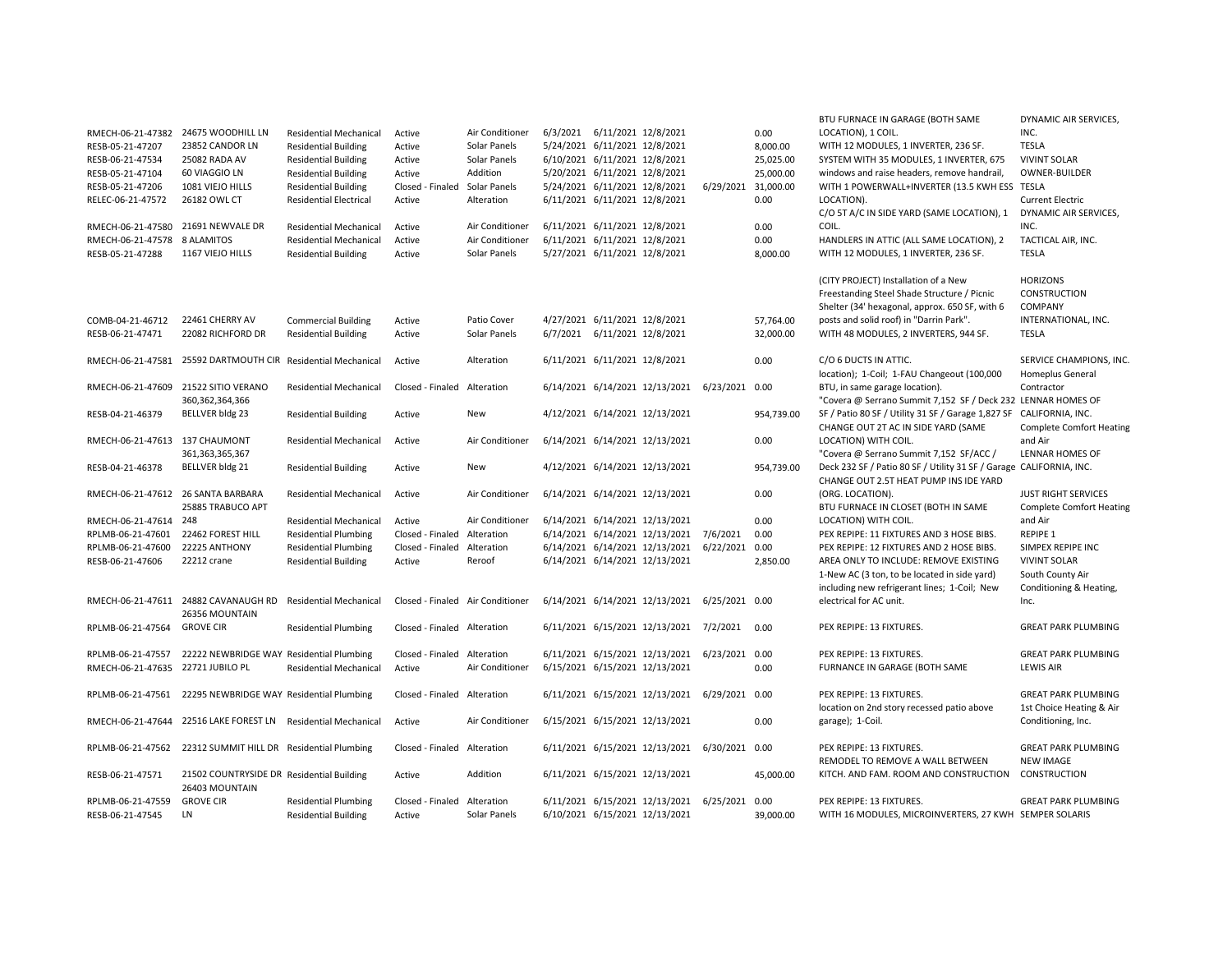| RMECH-06-21-47382<br>RESB-05-21-47207<br>RESB-06-21-47534<br>RESB-05-21-47104<br>RESB-05-21-47206<br>RELEC-06-21-47572<br>RMECH-06-21-47580<br>RMECH-06-21-47578<br>RESB-05-21-47288 | 24675 WOODHILL LN<br>23852 CANDOR LN<br>25082 RADA AV<br>60 VIAGGIO LN<br>1081 VIEJO HILLS<br>26182 OWL CT<br>21691 NEWVALE DR<br>8 ALAMITOS<br>1167 VIEJO HILLS | <b>Residential Mechanical</b><br><b>Residential Building</b><br><b>Residential Building</b><br><b>Residential Building</b><br><b>Residential Building</b><br><b>Residential Electrical</b><br><b>Residential Mechanical</b><br><b>Residential Mechanical</b><br><b>Residential Building</b> | Active<br>Active<br>Active<br>Active<br>Closed - Finaled Solar Panels<br>Active<br>Active<br>Active<br>Active | Air Conditioner<br>Solar Panels<br>Solar Panels<br>Addition<br>Alteration<br>Air Conditioner<br>Air Conditioner<br>Solar Panels | 6/3/2021 6/11/2021 12/8/2021<br>5/20/2021 6/11/2021 12/8/2021<br>5/24/2021 6/11/2021 12/8/2021<br>6/11/2021 6/11/2021 12/8/2021<br>6/11/2021 6/11/2021 12/8/2021 | 5/24/2021 6/11/2021 12/8/2021<br>6/10/2021 6/11/2021 12/8/2021<br>6/11/2021 6/11/2021 12/8/2021<br>5/27/2021 6/11/2021 12/8/2021 |                                               | 6/29/2021 31,000.00 | 0.00<br>8,000.00<br>25,025.00<br>25,000.00<br>0.00<br>0.00<br>0.00<br>8,000.00 | BTU FURNACE IN GARAGE (BOTH SAME<br>LOCATION), 1 COIL.<br>WITH 12 MODULES, 1 INVERTER, 236 SF.<br>SYSTEM WITH 35 MODULES, 1 INVERTER, 675<br>windows and raise headers, remove handrail,<br>WITH 1 POWERWALL+INVERTER (13.5 KWH ESS TESLA<br>LOCATION).<br>C/O 5T A/C IN SIDE YARD (SAME LOCATION), 1<br>COIL.<br>HANDLERS IN ATTIC (ALL SAME LOCATION), 2<br>WITH 12 MODULES, 1 INVERTER, 236 SF. | DYNAMIC AIR SERVICES,<br>INC.<br><b>TESLA</b><br><b>VIVINT SOLAR</b><br>OWNER-BUILDER<br><b>Current Electric</b><br>DYNAMIC AIR SERVICES,<br>INC.<br>TACTICAL AIR, INC.<br><b>TESLA</b> |
|--------------------------------------------------------------------------------------------------------------------------------------------------------------------------------------|------------------------------------------------------------------------------------------------------------------------------------------------------------------|---------------------------------------------------------------------------------------------------------------------------------------------------------------------------------------------------------------------------------------------------------------------------------------------|---------------------------------------------------------------------------------------------------------------|---------------------------------------------------------------------------------------------------------------------------------|------------------------------------------------------------------------------------------------------------------------------------------------------------------|----------------------------------------------------------------------------------------------------------------------------------|-----------------------------------------------|---------------------|--------------------------------------------------------------------------------|----------------------------------------------------------------------------------------------------------------------------------------------------------------------------------------------------------------------------------------------------------------------------------------------------------------------------------------------------------------------------------------------------|-----------------------------------------------------------------------------------------------------------------------------------------------------------------------------------------|
| COMB-04-21-46712<br>RESB-06-21-47471                                                                                                                                                 | 22461 CHERRY AV<br>22082 RICHFORD DR                                                                                                                             | <b>Commercial Building</b><br><b>Residential Building</b>                                                                                                                                                                                                                                   | Active<br>Active                                                                                              | Patio Cover<br>Solar Panels                                                                                                     |                                                                                                                                                                  | 4/27/2021 6/11/2021 12/8/2021<br>6/7/2021 6/11/2021 12/8/2021                                                                    |                                               |                     | 57,764.00<br>32,000.00                                                         | (CITY PROJECT) Installation of a New<br>Freestanding Steel Shade Structure / Picnic<br>Shelter (34' hexagonal, approx. 650 SF, with 6<br>posts and solid roof) in "Darrin Park".<br>WITH 48 MODULES, 2 INVERTERS, 944 SF.                                                                                                                                                                          | <b>HORIZONS</b><br><b>CONSTRUCTION</b><br>COMPANY<br>INTERNATIONAL, INC.<br><b>TESLA</b>                                                                                                |
| RMECH-06-21-47581                                                                                                                                                                    | 25592 DARTMOUTH CIR Residential Mechanical                                                                                                                       |                                                                                                                                                                                                                                                                                             | Active                                                                                                        | Alteration                                                                                                                      | 6/11/2021 6/11/2021 12/8/2021                                                                                                                                    |                                                                                                                                  |                                               |                     | 0.00                                                                           | C/O 6 DUCTS IN ATTIC.<br>location); 1-Coil; 1-FAU Changeout (100,000                                                                                                                                                                                                                                                                                                                               | SERVICE CHAMPIONS, INC.<br>Homeplus General                                                                                                                                             |
| RMECH-06-21-47609                                                                                                                                                                    | 21522 SITIO VERANO<br>360, 362, 364, 366                                                                                                                         | <b>Residential Mechanical</b>                                                                                                                                                                                                                                                               | Closed - Finaled Alteration                                                                                   |                                                                                                                                 |                                                                                                                                                                  |                                                                                                                                  | 6/14/2021 6/14/2021 12/13/2021                | 6/23/2021 0.00      |                                                                                | BTU, in same garage location).<br>"Covera @ Serrano Summit 7,152 SF / Deck 232 LENNAR HOMES OF                                                                                                                                                                                                                                                                                                     | Contractor                                                                                                                                                                              |
| RESB-04-21-46379                                                                                                                                                                     | BELLVER bldg 23                                                                                                                                                  | <b>Residential Building</b>                                                                                                                                                                                                                                                                 | Active                                                                                                        | New                                                                                                                             |                                                                                                                                                                  |                                                                                                                                  | 4/12/2021 6/14/2021 12/13/2021                |                     | 954,739.00                                                                     | SF / Patio 80 SF / Utility 31 SF / Garage 1,827 SF CALIFORNIA, INC.<br>CHANGE OUT 2T AC IN SIDE YARD (SAME                                                                                                                                                                                                                                                                                         | <b>Complete Comfort Heating</b>                                                                                                                                                         |
| RMECH-06-21-47613 137 CHAUMONT                                                                                                                                                       | 361, 363, 365, 367                                                                                                                                               | <b>Residential Mechanical</b>                                                                                                                                                                                                                                                               | Active                                                                                                        | Air Conditioner                                                                                                                 |                                                                                                                                                                  |                                                                                                                                  | 6/14/2021 6/14/2021 12/13/2021                |                     | 0.00                                                                           | LOCATION) WITH COIL.<br>"Covera @ Serrano Summit 7,152 SF/ACC /                                                                                                                                                                                                                                                                                                                                    | and Air<br>LENNAR HOMES OF                                                                                                                                                              |
| RESB-04-21-46378                                                                                                                                                                     | BELLVER bldg 21                                                                                                                                                  | <b>Residential Building</b>                                                                                                                                                                                                                                                                 | Active                                                                                                        | New                                                                                                                             |                                                                                                                                                                  |                                                                                                                                  | 4/12/2021 6/14/2021 12/13/2021                |                     | 954,739.00                                                                     | Deck 232 SF / Patio 80 SF / Utility 31 SF / Garage CALIFORNIA, INC.<br>CHANGE OUT 2.5T HEAT PUMP INS IDE YARD                                                                                                                                                                                                                                                                                      |                                                                                                                                                                                         |
| RMECH-06-21-47612 26 SANTA BARBARA                                                                                                                                                   | 25885 TRABUCO APT                                                                                                                                                | <b>Residential Mechanical</b>                                                                                                                                                                                                                                                               | Active                                                                                                        | Air Conditioner                                                                                                                 |                                                                                                                                                                  |                                                                                                                                  | 6/14/2021 6/14/2021 12/13/2021                |                     | 0.00                                                                           | (ORG. LOCATION).<br>BTU FURNACE IN CLOSET (BOTH IN SAME                                                                                                                                                                                                                                                                                                                                            | <b>JUST RIGHT SERVICES</b><br><b>Complete Comfort Heating</b>                                                                                                                           |
| RMECH-06-21-47614 248                                                                                                                                                                |                                                                                                                                                                  | <b>Residential Mechanical</b>                                                                                                                                                                                                                                                               | Active                                                                                                        | Air Conditioner                                                                                                                 |                                                                                                                                                                  |                                                                                                                                  | 6/14/2021 6/14/2021 12/13/2021                |                     | 0.00                                                                           | LOCATION) WITH COIL.                                                                                                                                                                                                                                                                                                                                                                               | and Air                                                                                                                                                                                 |
| RPLMB-06-21-47601                                                                                                                                                                    | 22462 FOREST HILL                                                                                                                                                | <b>Residential Plumbing</b>                                                                                                                                                                                                                                                                 | Closed - Finaled                                                                                              | Alteration                                                                                                                      |                                                                                                                                                                  |                                                                                                                                  | 6/14/2021 6/14/2021 12/13/2021 7/6/2021       |                     | 0.00                                                                           | PEX REPIPE: 11 FIXTURES AND 3 HOSE BIBS.                                                                                                                                                                                                                                                                                                                                                           | <b>REPIPE 1</b>                                                                                                                                                                         |
| RPLMB-06-21-47600                                                                                                                                                                    | 22225 ANTHONY                                                                                                                                                    | <b>Residential Plumbing</b>                                                                                                                                                                                                                                                                 | Closed - Finaled                                                                                              | Alteration                                                                                                                      |                                                                                                                                                                  |                                                                                                                                  | 6/14/2021 6/14/2021 12/13/2021                | 6/22/2021           | 0.00                                                                           | PEX REPIPE: 12 FIXTURES AND 2 HOSE BIBS.                                                                                                                                                                                                                                                                                                                                                           | SIMPEX REPIPE INC                                                                                                                                                                       |
| RESB-06-21-47606                                                                                                                                                                     | 22212 crane                                                                                                                                                      | <b>Residential Building</b>                                                                                                                                                                                                                                                                 | Active                                                                                                        | Reroof                                                                                                                          |                                                                                                                                                                  |                                                                                                                                  | 6/14/2021 6/14/2021 12/13/2021                |                     | 2,850.00                                                                       | AREA ONLY TO INCLUDE: REMOVE EXISTING                                                                                                                                                                                                                                                                                                                                                              | <b>VIVINT SOLAR</b>                                                                                                                                                                     |
|                                                                                                                                                                                      |                                                                                                                                                                  |                                                                                                                                                                                                                                                                                             |                                                                                                               |                                                                                                                                 |                                                                                                                                                                  |                                                                                                                                  |                                               |                     |                                                                                | 1-New AC (3 ton, to be located in side yard)                                                                                                                                                                                                                                                                                                                                                       | South County Air                                                                                                                                                                        |
|                                                                                                                                                                                      | RMECH-06-21-47611 24882 CAVANAUGH RD                                                                                                                             | <b>Residential Mechanical</b>                                                                                                                                                                                                                                                               | Closed - Finaled Air Conditioner                                                                              |                                                                                                                                 |                                                                                                                                                                  |                                                                                                                                  | 6/14/2021 6/14/2021 12/13/2021 6/25/2021 0.00 |                     |                                                                                | including new refrigerant lines; 1-Coil; New<br>electrical for AC unit.                                                                                                                                                                                                                                                                                                                            | Conditioning & Heating,<br>Inc.                                                                                                                                                         |
| RPLMB-06-21-47564                                                                                                                                                                    | 26356 MOUNTAIN<br><b>GROVE CIR</b>                                                                                                                               | <b>Residential Plumbing</b>                                                                                                                                                                                                                                                                 | Closed - Finaled Alteration                                                                                   |                                                                                                                                 |                                                                                                                                                                  |                                                                                                                                  | 6/11/2021 6/15/2021 12/13/2021 7/2/2021       |                     | 0.00                                                                           | PEX REPIPE: 13 FIXTURES.                                                                                                                                                                                                                                                                                                                                                                           | <b>GREAT PARK PLUMBING</b>                                                                                                                                                              |
|                                                                                                                                                                                      |                                                                                                                                                                  |                                                                                                                                                                                                                                                                                             |                                                                                                               |                                                                                                                                 |                                                                                                                                                                  |                                                                                                                                  |                                               |                     |                                                                                |                                                                                                                                                                                                                                                                                                                                                                                                    |                                                                                                                                                                                         |
| RPLMB-06-21-47557                                                                                                                                                                    | 22222 NEWBRIDGE WAY Residential Plumbing                                                                                                                         |                                                                                                                                                                                                                                                                                             | Closed - Finaled Alteration                                                                                   |                                                                                                                                 |                                                                                                                                                                  |                                                                                                                                  | 6/11/2021 6/15/2021 12/13/2021 6/23/2021 0.00 |                     |                                                                                | PEX REPIPE: 13 FIXTURES.                                                                                                                                                                                                                                                                                                                                                                           | <b>GREAT PARK PLUMBING</b>                                                                                                                                                              |
| RMECH-06-21-47635 22721 JUBILO PL                                                                                                                                                    |                                                                                                                                                                  | <b>Residential Mechanical</b>                                                                                                                                                                                                                                                               | Active                                                                                                        | Air Conditioner                                                                                                                 |                                                                                                                                                                  |                                                                                                                                  | 6/15/2021 6/15/2021 12/13/2021                |                     | 0.00                                                                           | FURNANCE IN GARAGE (BOTH SAME                                                                                                                                                                                                                                                                                                                                                                      | <b>LEWIS AIR</b>                                                                                                                                                                        |
|                                                                                                                                                                                      | RPLMB-06-21-47561 22295 NEWBRIDGE WAY Residential Plumbing                                                                                                       |                                                                                                                                                                                                                                                                                             | Closed - Finaled Alteration                                                                                   |                                                                                                                                 |                                                                                                                                                                  |                                                                                                                                  | 6/11/2021 6/15/2021 12/13/2021                | 6/29/2021 0.00      |                                                                                | PEX REPIPE: 13 FIXTURES.                                                                                                                                                                                                                                                                                                                                                                           | <b>GREAT PARK PLUMBING</b>                                                                                                                                                              |
|                                                                                                                                                                                      |                                                                                                                                                                  |                                                                                                                                                                                                                                                                                             |                                                                                                               |                                                                                                                                 |                                                                                                                                                                  |                                                                                                                                  |                                               |                     |                                                                                | location on 2nd story recessed patio above                                                                                                                                                                                                                                                                                                                                                         | 1st Choice Heating & Air                                                                                                                                                                |
|                                                                                                                                                                                      | RMECH-06-21-47644 22516 LAKE FOREST LN                                                                                                                           | <b>Residential Mechanical</b>                                                                                                                                                                                                                                                               | Active                                                                                                        | Air Conditioner                                                                                                                 |                                                                                                                                                                  |                                                                                                                                  | 6/15/2021 6/15/2021 12/13/2021                |                     | 0.00                                                                           | garage); 1-Coil.                                                                                                                                                                                                                                                                                                                                                                                   | Conditioning, Inc.                                                                                                                                                                      |
|                                                                                                                                                                                      | RPLMB-06-21-47562 22312 SUMMIT HILL DR Residential Plumbing                                                                                                      |                                                                                                                                                                                                                                                                                             | Closed - Finaled Alteration                                                                                   |                                                                                                                                 |                                                                                                                                                                  |                                                                                                                                  | 6/11/2021 6/15/2021 12/13/2021                | 6/30/2021 0.00      |                                                                                | PEX REPIPE: 13 FIXTURES.<br>REMODEL TO REMOVE A WALL BETWEEN                                                                                                                                                                                                                                                                                                                                       | <b>GREAT PARK PLUMBING</b><br><b>NEW IMAGE</b>                                                                                                                                          |
| RESB-06-21-47571                                                                                                                                                                     | 21502 COUNTRYSIDE DR Residential Building<br>26403 MOUNTAIN                                                                                                      |                                                                                                                                                                                                                                                                                             | Active                                                                                                        | Addition                                                                                                                        |                                                                                                                                                                  |                                                                                                                                  | 6/11/2021 6/15/2021 12/13/2021                |                     | 45,000.00                                                                      | KITCH. AND FAM. ROOM AND CONSTRUCTION                                                                                                                                                                                                                                                                                                                                                              | CONSTRUCTION                                                                                                                                                                            |
| RPLMB-06-21-47559                                                                                                                                                                    | <b>GROVE CIR</b>                                                                                                                                                 | <b>Residential Plumbing</b>                                                                                                                                                                                                                                                                 | Closed - Finaled Alteration                                                                                   |                                                                                                                                 |                                                                                                                                                                  |                                                                                                                                  | 6/11/2021 6/15/2021 12/13/2021 6/25/2021 0.00 |                     |                                                                                | PEX REPIPE: 13 FIXTURES.                                                                                                                                                                                                                                                                                                                                                                           | <b>GREAT PARK PLUMBING</b>                                                                                                                                                              |
| RESB-06-21-47545                                                                                                                                                                     | LN                                                                                                                                                               | <b>Residential Building</b>                                                                                                                                                                                                                                                                 | Active                                                                                                        | Solar Panels                                                                                                                    |                                                                                                                                                                  |                                                                                                                                  | 6/10/2021 6/15/2021 12/13/2021                |                     | 39.000.00                                                                      | WITH 16 MODULES, MICROINVERTERS, 27 KWH SEMPER SOLARIS                                                                                                                                                                                                                                                                                                                                             |                                                                                                                                                                                         |
|                                                                                                                                                                                      |                                                                                                                                                                  |                                                                                                                                                                                                                                                                                             |                                                                                                               |                                                                                                                                 |                                                                                                                                                                  |                                                                                                                                  |                                               |                     |                                                                                |                                                                                                                                                                                                                                                                                                                                                                                                    |                                                                                                                                                                                         |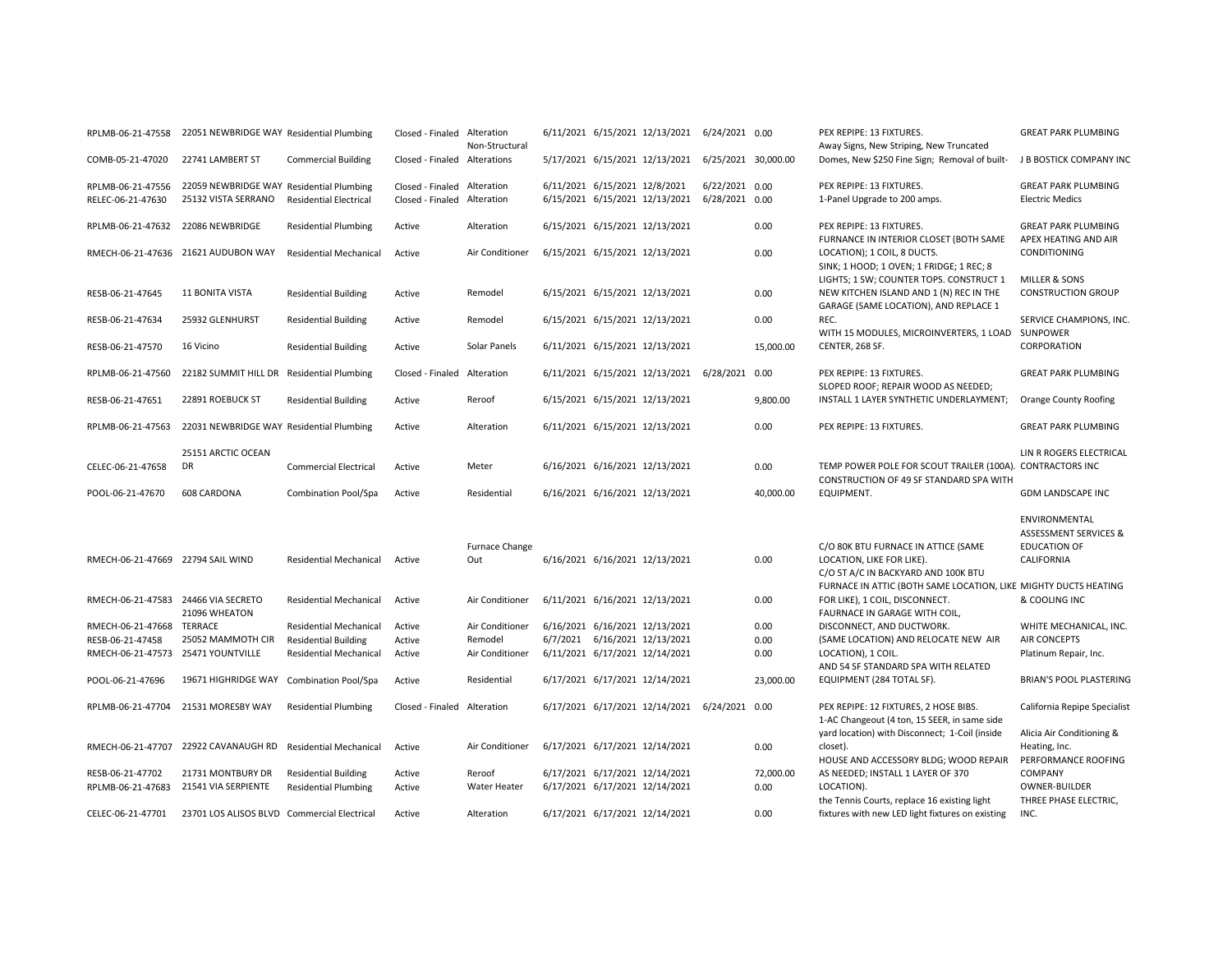| RPLMB-06-21-47558                      | 22051 NEWBRIDGE WAY Residential Plumbing                        |                               | Closed - Finaled Alteration                     | Non-Structural        |                               | 6/11/2021 6/15/2021 12/13/2021 6/24/2021 0.00      |                                  |           | PEX REPIPE: 13 FIXTURES.<br>Away Signs, New Striping, New Truncated                                                         | <b>GREAT PARK PLUMBING</b>                                                             |
|----------------------------------------|-----------------------------------------------------------------|-------------------------------|-------------------------------------------------|-----------------------|-------------------------------|----------------------------------------------------|----------------------------------|-----------|-----------------------------------------------------------------------------------------------------------------------------|----------------------------------------------------------------------------------------|
| COMB-05-21-47020                       | 22741 LAMBERT ST                                                | <b>Commercial Building</b>    | Closed - Finaled Alterations                    |                       |                               | 5/17/2021 6/15/2021 12/13/2021 6/25/2021 30.000.00 |                                  |           | Domes, New \$250 Fine Sign; Removal of built-                                                                               | J B BOSTICK COMPANY INC                                                                |
| RPLMB-06-21-47556<br>RELEC-06-21-47630 | 22059 NEWBRIDGE WAY Residential Plumbing<br>25132 VISTA SERRANO | <b>Residential Electrical</b> | Closed - Finaled Alteration<br>Closed - Finaled | Alteration            | 6/11/2021 6/15/2021 12/8/2021 | 6/15/2021 6/15/2021 12/13/2021                     | 6/22/2021 0.00<br>6/28/2021 0.00 |           | PEX REPIPE: 13 FIXTURES.<br>1-Panel Upgrade to 200 amps.                                                                    | <b>GREAT PARK PLUMBING</b><br><b>Electric Medics</b>                                   |
| RPLMB-06-21-47632 22086 NEWBRIDGE      |                                                                 | <b>Residential Plumbing</b>   | Active                                          | Alteration            |                               | 6/15/2021 6/15/2021 12/13/2021                     |                                  | 0.00      | PEX REPIPE: 13 FIXTURES.                                                                                                    | <b>GREAT PARK PLUMBING</b>                                                             |
|                                        | RMECH-06-21-47636 21621 AUDUBON WAY                             | <b>Residential Mechanical</b> | Active                                          | Air Conditioner       |                               | 6/15/2021 6/15/2021 12/13/2021                     |                                  | 0.00      | FURNANCE IN INTERIOR CLOSET (BOTH SAME<br>LOCATION); 1 COIL, 8 DUCTS.<br>SINK; 1 HOOD; 1 OVEN; 1 FRIDGE; 1 REC; 8           | APEX HEATING AND AIR<br>CONDITIONING                                                   |
| RESB-06-21-47645                       | <b>11 BONITA VISTA</b>                                          | <b>Residential Building</b>   | Active                                          | Remodel               |                               | 6/15/2021 6/15/2021 12/13/2021                     |                                  | 0.00      | LIGHTS; 1 SW; COUNTER TOPS. CONSTRUCT 1<br>NEW KITCHEN ISLAND AND 1 (N) REC IN THE<br>GARAGE (SAME LOCATION), AND REPLACE 1 | MILLER & SONS<br><b>CONSTRUCTION GROUP</b>                                             |
| RESB-06-21-47634                       | 25932 GLENHURST                                                 | <b>Residential Building</b>   | Active                                          | Remodel               |                               | 6/15/2021 6/15/2021 12/13/2021                     |                                  | 0.00      | REC.<br>WITH 15 MODULES, MICROINVERTERS, 1 LOAD SUNPOWER                                                                    | SERVICE CHAMPIONS, INC.                                                                |
| RESB-06-21-47570                       | 16 Vicino                                                       | <b>Residential Building</b>   | Active                                          | Solar Panels          |                               | 6/11/2021 6/15/2021 12/13/2021                     |                                  | 15,000.00 | CENTER, 268 SF.                                                                                                             | CORPORATION                                                                            |
| RPLMB-06-21-47560                      | 22182 SUMMIT HILL DR                                            | <b>Residential Plumbing</b>   | Closed - Finaled                                | Alteration            |                               | 6/11/2021 6/15/2021 12/13/2021 6/28/2021           |                                  | 0.00      | PEX REPIPE: 13 FIXTURES.<br>SLOPED ROOF; REPAIR WOOD AS NEEDED;                                                             | <b>GREAT PARK PLUMBING</b>                                                             |
| RESB-06-21-47651                       | 22891 ROEBUCK ST                                                | <b>Residential Building</b>   | Active                                          | Reroof                |                               | 6/15/2021 6/15/2021 12/13/2021                     |                                  | 9,800.00  | INSTALL 1 LAYER SYNTHETIC UNDERLAYMENT;                                                                                     | Orange County Roofing                                                                  |
| RPLMB-06-21-47563                      | 22031 NEWBRIDGE WAY Residential Plumbing                        |                               | Active                                          | Alteration            |                               | 6/11/2021 6/15/2021 12/13/2021                     |                                  | 0.00      | PEX REPIPE: 13 FIXTURES.                                                                                                    | <b>GREAT PARK PLUMBING</b>                                                             |
| CELEC-06-21-47658                      | 25151 ARCTIC OCEAN<br>DR                                        | <b>Commercial Electrical</b>  | Active                                          | Meter                 |                               | 6/16/2021 6/16/2021 12/13/2021                     |                                  | 0.00      | TEMP POWER POLE FOR SCOUT TRAILER (100A). CONTRACTORS INC                                                                   | LIN R ROGERS ELECTRICAL                                                                |
|                                        |                                                                 |                               |                                                 |                       |                               |                                                    |                                  |           | CONSTRUCTION OF 49 SF STANDARD SPA WITH                                                                                     |                                                                                        |
| POOL-06-21-47670                       | <b>608 CARDONA</b>                                              | Combination Pool/Spa          | Active                                          | Residential           |                               | 6/16/2021 6/16/2021 12/13/2021                     |                                  | 40,000.00 | EQUIPMENT.                                                                                                                  | <b>GDM LANDSCAPE INC</b>                                                               |
| RMECH-06-21-47669 22794 SAIL WIND      |                                                                 | <b>Residential Mechanical</b> | Active                                          | Furnace Change<br>Out |                               | 6/16/2021 6/16/2021 12/13/2021                     |                                  | 0.00      | C/O 80K BTU FURNACE IN ATTICE (SAME<br>LOCATION, LIKE FOR LIKE).                                                            | ENVIRONMENTAL<br><b>ASSESSMENT SERVICES &amp;</b><br><b>EDUCATION OF</b><br>CALIFORNIA |
|                                        |                                                                 |                               |                                                 |                       |                               |                                                    |                                  |           | C/O 5T A/C IN BACKYARD AND 100K BTU<br>FURNACE IN ATTIC (BOTH SAME LOCATION, LIKE MIGHTY DUCTS HEATING                      |                                                                                        |
| RMECH-06-21-47583 24466 VIA SECRETO    | 21096 WHEATON                                                   | <b>Residential Mechanical</b> | Active                                          | Air Conditioner       |                               | 6/11/2021 6/16/2021 12/13/2021                     |                                  | 0.00      | FOR LIKE), 1 COIL, DISCONNECT.<br>FAURNACE IN GARAGE WITH COIL,                                                             | & COOLING INC                                                                          |
| RMECH-06-21-47668                      | TERRACE                                                         | <b>Residential Mechanical</b> | Active                                          | Air Conditioner       |                               | 6/16/2021 6/16/2021 12/13/2021                     |                                  | 0.00      | DISCONNECT, AND DUCTWORK.                                                                                                   | WHITE MECHANICAL, INC.                                                                 |
| RESB-06-21-47458                       | 25052 MAMMOTH CIR                                               | <b>Residential Building</b>   | Active                                          | Remodel               |                               | 6/7/2021 6/16/2021 12/13/2021                      |                                  | 0.00      | (SAME LOCATION) AND RELOCATE NEW AIR                                                                                        | AIR CONCEPTS                                                                           |
| RMECH-06-21-47573 25471 YOUNTVILLE     |                                                                 | <b>Residential Mechanical</b> | Active                                          | Air Conditioner       |                               | 6/11/2021 6/17/2021 12/14/2021                     |                                  | 0.00      | LOCATION), 1 COIL.<br>AND 54 SF STANDARD SPA WITH RELATED                                                                   | Platinum Repair, Inc.                                                                  |
| POOL-06-21-47696                       | 19671 HIGHRIDGE WAY                                             | <b>Combination Pool/Spa</b>   | Active                                          | Residential           |                               | 6/17/2021 6/17/2021 12/14/2021                     |                                  | 23,000.00 | EQUIPMENT (284 TOTAL SF).                                                                                                   | <b>BRIAN'S POOL PLASTERING</b>                                                         |
| RPLMB-06-21-47704                      | 21531 MORESBY WAY                                               | <b>Residential Plumbing</b>   | Closed - Finaled                                | Alteration            |                               | 6/17/2021 6/17/2021 12/14/2021 6/24/2021 0.00      |                                  |           | PEX REPIPE: 12 FIXTURES, 2 HOSE BIBS.<br>1-AC Changeout (4 ton, 15 SEER, in same side                                       | California Repipe Specialist                                                           |
|                                        | RMECH-06-21-47707 22922 CAVANAUGH RD Residential Mechanical     |                               | Active                                          | Air Conditioner       |                               | 6/17/2021 6/17/2021 12/14/2021                     |                                  | 0.00      | yard location) with Disconnect; 1-Coil (inside<br>closet).<br>HOUSE AND ACCESSORY BLDG; WOOD REPAIR                         | Alicia Air Conditioning &<br>Heating, Inc.<br>PERFORMANCE ROOFING                      |
| RESB-06-21-47702                       | 21731 MONTBURY DR                                               | <b>Residential Building</b>   | Active                                          | Reroof                |                               | 6/17/2021 6/17/2021 12/14/2021                     |                                  | 72,000.00 | AS NEEDED; INSTALL 1 LAYER OF 370                                                                                           | COMPANY                                                                                |
| RPLMB-06-21-47683                      | 21541 VIA SERPIENTE                                             | <b>Residential Plumbing</b>   | Active                                          | Water Heater          |                               | 6/17/2021 6/17/2021 12/14/2021                     |                                  | 0.00      | LOCATION).<br>the Tennis Courts, replace 16 existing light                                                                  | OWNER-BUILDER<br>THREE PHASE ELECTRIC,                                                 |
| CELEC-06-21-47701                      | 23701 LOS ALISOS BLVD Commercial Electrical                     |                               | Active                                          | Alteration            |                               | 6/17/2021 6/17/2021 12/14/2021                     |                                  | 0.00      | fixtures with new LED light fixtures on existing                                                                            | INC.                                                                                   |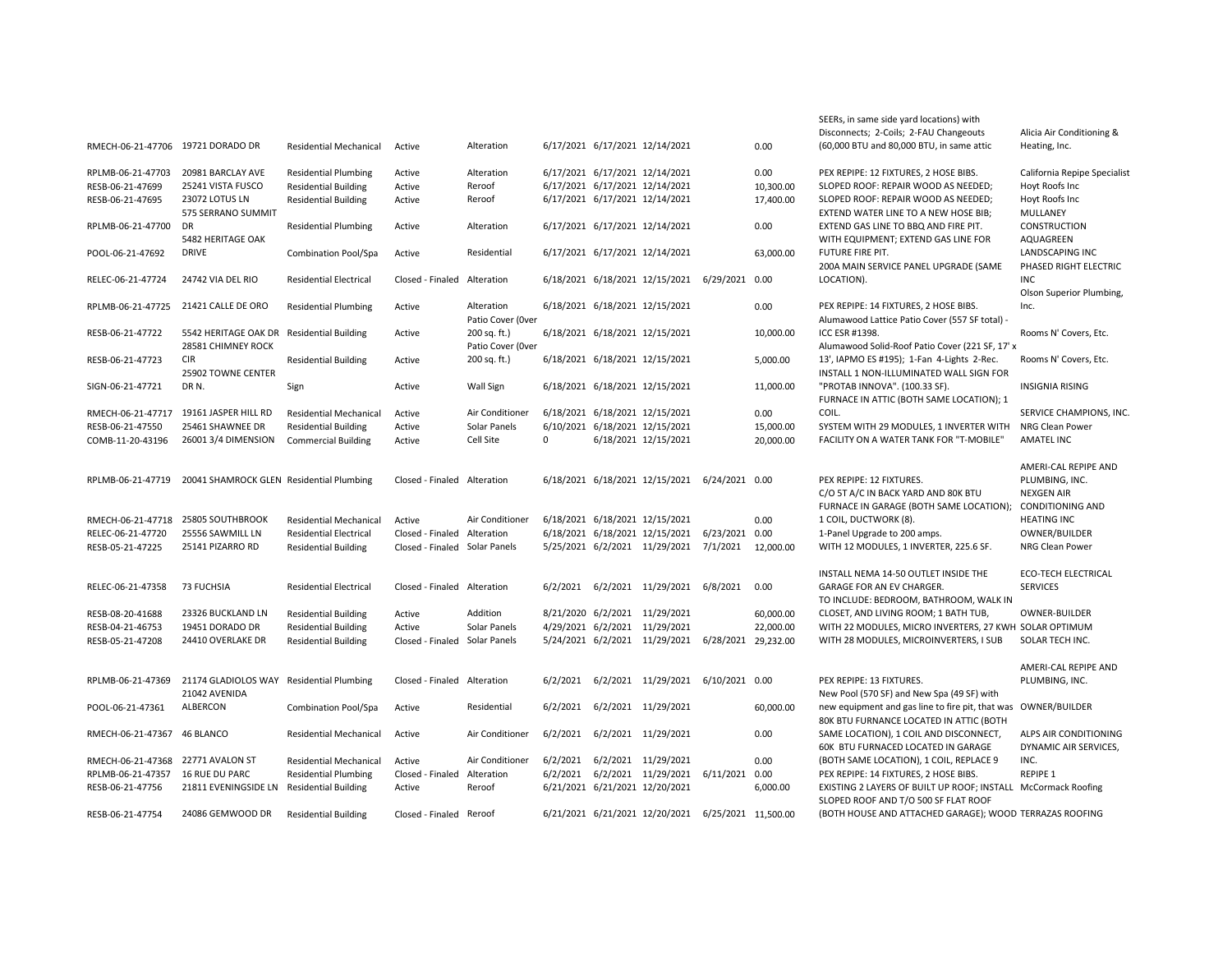|                                   |                                           |                               |                               |                   |          |                                                    |                     |           | SEERs, in same side yard locations) with                       |                              |
|-----------------------------------|-------------------------------------------|-------------------------------|-------------------------------|-------------------|----------|----------------------------------------------------|---------------------|-----------|----------------------------------------------------------------|------------------------------|
|                                   |                                           |                               |                               |                   |          |                                                    |                     |           | Disconnects; 2-Coils; 2-FAU Changeouts                         | Alicia Air Conditioning &    |
| RMECH-06-21-47706 19721 DORADO DR |                                           | <b>Residential Mechanical</b> | Active                        | Alteration        |          | 6/17/2021 6/17/2021 12/14/2021                     |                     | 0.00      | (60,000 BTU and 80,000 BTU, in same attic                      | Heating, Inc.                |
|                                   |                                           |                               |                               |                   |          |                                                    |                     |           |                                                                |                              |
| RPLMB-06-21-47703                 | 20981 BARCLAY AVE                         | <b>Residential Plumbing</b>   | Active                        | Alteration        |          | 6/17/2021 6/17/2021 12/14/2021                     |                     | 0.00      | PEX REPIPE: 12 FIXTURES, 2 HOSE BIBS.                          | California Repipe Specialist |
| RESB-06-21-47699                  | 25241 VISTA FUSCO                         | <b>Residential Building</b>   | Active                        | Reroof            |          | 6/17/2021 6/17/2021 12/14/2021                     |                     | 10,300.00 | SLOPED ROOF: REPAIR WOOD AS NEEDED;                            | Hoyt Roofs Inc               |
| RESB-06-21-47695                  | 23072 LOTUS LN                            | <b>Residential Building</b>   | Active                        | Reroof            |          | 6/17/2021 6/17/2021 12/14/2021                     |                     | 17,400.00 | SLOPED ROOF: REPAIR WOOD AS NEEDED;                            | Hoyt Roofs Inc               |
|                                   | 575 SERRANO SUMMIT                        |                               |                               |                   |          |                                                    |                     |           | EXTEND WATER LINE TO A NEW HOSE BIB;                           | MULLANEY                     |
| RPLMB-06-21-47700                 | DR                                        | <b>Residential Plumbing</b>   | Active                        | Alteration        |          | 6/17/2021 6/17/2021 12/14/2021                     |                     | 0.00      | EXTEND GAS LINE TO BBQ AND FIRE PIT.                           | CONSTRUCTION                 |
|                                   | 5482 HERITAGE OAK                         |                               |                               |                   |          |                                                    |                     |           | WITH EQUIPMENT; EXTEND GAS LINE FOR                            | AQUAGREEN                    |
| POOL-06-21-47692                  | <b>DRIVE</b>                              | Combination Pool/Spa          | Active                        | Residential       |          | 6/17/2021 6/17/2021 12/14/2021                     |                     | 63,000.00 | FUTURE FIRE PIT.                                               | LANDSCAPING INC              |
|                                   |                                           |                               |                               |                   |          |                                                    |                     |           | 200A MAIN SERVICE PANEL UPGRADE (SAME                          | PHASED RIGHT ELECTRIC        |
| RELEC-06-21-47724                 | 24742 VIA DEL RIO                         | <b>Residential Electrical</b> | Closed - Finaled Alteration   |                   |          | 6/18/2021 6/18/2021 12/15/2021 6/29/2021 0.00      |                     |           | LOCATION).                                                     | <b>INC</b>                   |
|                                   |                                           |                               |                               |                   |          |                                                    |                     |           |                                                                | Olson Superior Plumbing,     |
| RPLMB-06-21-47725                 | 21421 CALLE DE ORO                        | <b>Residential Plumbing</b>   | Active                        | Alteration        |          | 6/18/2021 6/18/2021 12/15/2021                     |                     | 0.00      | PEX REPIPE: 14 FIXTURES, 2 HOSE BIBS.                          | Inc.                         |
|                                   |                                           |                               |                               | Patio Cover (Over |          |                                                    |                     |           | Alumawood Lattice Patio Cover (557 SF total) -                 |                              |
| RESB-06-21-47722                  | 5542 HERITAGE OAK DR                      | <b>Residential Building</b>   | Active                        | 200 sq. ft.)      |          | 6/18/2021 6/18/2021 12/15/2021                     |                     | 10,000.00 | ICC ESR #1398.                                                 | Rooms N' Covers, Etc.        |
|                                   | 28581 CHIMNEY ROCK                        |                               |                               | Patio Cover (Over |          |                                                    |                     |           | Alumawood Solid-Roof Patio Cover (221 SF, 17' x                |                              |
| RESB-06-21-47723                  | <b>CIR</b>                                | <b>Residential Building</b>   | Active                        | 200 sq. ft.)      |          | 6/18/2021 6/18/2021 12/15/2021                     |                     | 5,000.00  | 13', IAPMO ES #195); 1-Fan 4-Lights 2-Rec.                     | Rooms N' Covers, Etc.        |
|                                   | 25902 TOWNE CENTER                        |                               |                               |                   |          |                                                    |                     |           | INSTALL 1 NON-ILLUMINATED WALL SIGN FOR                        |                              |
| SIGN-06-21-47721                  | DR N.                                     | Sign                          | Active                        | Wall Sign         |          | 6/18/2021 6/18/2021 12/15/2021                     |                     | 11,000.00 | "PROTAB INNOVA". (100.33 SF).                                  | <b>INSIGNIA RISING</b>       |
|                                   |                                           |                               |                               |                   |          |                                                    |                     |           | FURNACE IN ATTIC (BOTH SAME LOCATION); 1                       |                              |
| RMECH-06-21-47717                 | 19161 JASPER HILL RD                      | <b>Residential Mechanical</b> | Active                        | Air Conditioner   |          | 6/18/2021 6/18/2021 12/15/2021                     |                     | 0.00      | COIL.                                                          | SERVICE CHAMPIONS, INC.      |
| RESB-06-21-47550                  | 25461 SHAWNEE DR                          | <b>Residential Building</b>   | Active                        | Solar Panels      |          | 6/10/2021 6/18/2021 12/15/2021                     |                     | 15,000.00 | SYSTEM WITH 29 MODULES, 1 INVERTER WITH                        | <b>NRG Clean Power</b>       |
| COMB-11-20-43196                  | 26001 3/4 DIMENSION                       | <b>Commercial Building</b>    | Active                        | Cell Site         | 0        | 6/18/2021 12/15/2021                               |                     | 20,000.00 | FACILITY ON A WATER TANK FOR "T-MOBILE"                        | <b>AMATEL INC</b>            |
|                                   |                                           |                               |                               |                   |          |                                                    |                     |           |                                                                |                              |
|                                   |                                           |                               |                               |                   |          |                                                    |                     |           |                                                                | AMERI-CAL REPIPE AND         |
| RPLMB-06-21-47719                 | 20041 SHAMROCK GLEN Residential Plumbing  |                               | Closed - Finaled Alteration   |                   |          | 6/18/2021 6/18/2021 12/15/2021 6/24/2021 0.00      |                     |           | PEX REPIPE: 12 FIXTURES.                                       | PLUMBING, INC.               |
|                                   |                                           |                               |                               |                   |          |                                                    |                     |           | C/O 5T A/C IN BACK YARD AND 80K BTU                            | <b>NEXGEN AIR</b>            |
|                                   |                                           |                               |                               |                   |          |                                                    |                     |           | FURNACE IN GARAGE (BOTH SAME LOCATION);                        | <b>CONDITIONING AND</b>      |
| RMECH-06-21-47718                 | 25805 SOUTHBROOK                          | <b>Residential Mechanical</b> | Active                        | Air Conditioner   |          | 6/18/2021 6/18/2021 12/15/2021                     |                     | 0.00      | 1 COIL, DUCTWORK (8).                                          | <b>HEATING INC</b>           |
| RELEC-06-21-47720                 | 25556 SAWMILL LN                          | <b>Residential Electrical</b> | Closed - Finaled Alteration   |                   |          | 6/18/2021 6/18/2021 12/15/2021                     | 6/23/2021 0.00      |           | 1-Panel Upgrade to 200 amps.                                   | OWNER/BUILDER                |
| RESB-05-21-47225                  | 25141 PIZARRO RD                          | <b>Residential Building</b>   | Closed - Finaled Solar Panels |                   |          | 5/25/2021 6/2/2021 11/29/2021                      | 7/1/2021            | 12,000.00 | WITH 12 MODULES, 1 INVERTER, 225.6 SF.                         | NRG Clean Power              |
|                                   |                                           |                               |                               |                   |          |                                                    |                     |           |                                                                |                              |
|                                   |                                           |                               |                               |                   |          |                                                    |                     |           | INSTALL NEMA 14-50 OUTLET INSIDE THE                           | <b>ECO-TECH ELECTRICAL</b>   |
| RELEC-06-21-47358                 | 73 FUCHSIA                                | <b>Residential Electrical</b> | Closed - Finaled Alteration   |                   | 6/2/2021 | 6/2/2021 11/29/2021 6/8/2021                       |                     | 0.00      | GARAGE FOR AN EV CHARGER.                                      | <b>SERVICES</b>              |
|                                   |                                           |                               |                               |                   |          |                                                    |                     |           | TO INCLUDE: BEDROOM, BATHROOM, WALK IN                         |                              |
| RESB-08-20-41688                  | 23326 BUCKLAND LN                         | <b>Residential Building</b>   | Active                        | Addition          |          | 8/21/2020 6/2/2021 11/29/2021                      |                     | 60,000.00 | CLOSET, AND LIVING ROOM; 1 BATH TUB,                           | <b>OWNER-BUILDER</b>         |
| RESB-04-21-46753                  | 19451 DORADO DR                           | <b>Residential Building</b>   | Active                        | Solar Panels      |          | 4/29/2021 6/2/2021 11/29/2021                      |                     | 22,000.00 | WITH 22 MODULES, MICRO INVERTERS, 27 KWH SOLAR OPTIMUM         |                              |
| RESB-05-21-47208                  | 24410 OVERLAKE DR                         | <b>Residential Building</b>   | Closed - Finaled Solar Panels |                   |          | 5/24/2021 6/2/2021 11/29/2021                      | 6/28/2021 29,232.00 |           | WITH 28 MODULES, MICROINVERTERS, I SUB                         | SOLAR TECH INC.              |
|                                   |                                           |                               |                               |                   |          |                                                    |                     |           |                                                                |                              |
|                                   |                                           |                               |                               |                   |          |                                                    |                     |           |                                                                | AMERI-CAL REPIPE AND         |
| RPLMB-06-21-47369                 | 21174 GLADIOLOS WAY                       | <b>Residential Plumbing</b>   | Closed - Finaled Alteration   |                   | 6/2/2021 | 6/2/2021 11/29/2021 6/10/2021 0.00                 |                     |           | PEX REPIPE: 13 FIXTURES.                                       | PLUMBING, INC.               |
|                                   | 21042 AVENIDA                             |                               |                               |                   |          |                                                    |                     |           | New Pool (570 SF) and New Spa (49 SF) with                     |                              |
| POOL-06-21-47361                  | ALBERCON                                  | Combination Pool/Spa          | Active                        | Residential       | 6/2/2021 | 6/2/2021 11/29/2021                                |                     | 60,000.00 | new equipment and gas line to fire pit, that was OWNER/BUILDER |                              |
|                                   |                                           |                               |                               |                   |          |                                                    |                     |           | 80K BTU FURNANCE LOCATED IN ATTIC (BOTH                        |                              |
| RMECH-06-21-47367                 | 46 BLANCO                                 | <b>Residential Mechanical</b> | Active                        | Air Conditioner   | 6/2/2021 | 6/2/2021 11/29/2021                                |                     | 0.00      | SAME LOCATION), 1 COIL AND DISCONNECT,                         | ALPS AIR CONDITIONING        |
|                                   |                                           |                               |                               |                   |          |                                                    |                     |           | 60K BTU FURNACED LOCATED IN GARAGE                             | DYNAMIC AIR SERVICES,        |
| RMECH-06-21-47368 22771 AVALON ST |                                           | <b>Residential Mechanical</b> | Active                        | Air Conditioner   | 6/2/2021 | 6/2/2021 11/29/2021                                |                     | 0.00      | (BOTH SAME LOCATION), 1 COIL, REPLACE 9                        | INC.                         |
| RPLMB-06-21-47357                 | <b>16 RUE DU PARC</b>                     | <b>Residential Plumbing</b>   | Closed - Finaled Alteration   |                   | 6/2/2021 | 6/2/2021 11/29/2021 6/11/2021                      |                     | 0.00      | PEX REPIPE: 14 FIXTURES, 2 HOSE BIBS.                          | <b>REPIPE 1</b>              |
| RESB-06-21-47756                  | 21811 EVENINGSIDE LN Residential Building |                               | Active                        | Reroof            |          | 6/21/2021 6/21/2021 12/20/2021                     |                     | 6,000.00  | EXISTING 2 LAYERS OF BUILT UP ROOF; INSTALL McCormack Roofing  |                              |
|                                   |                                           |                               |                               |                   |          |                                                    |                     |           | SLOPED ROOF AND T/O 500 SF FLAT ROOF                           |                              |
| RESB-06-21-47754                  | 24086 GEMWOOD DR                          | <b>Residential Building</b>   | Closed - Finaled Reroof       |                   |          | 6/21/2021 6/21/2021 12/20/2021 6/25/2021 11,500.00 |                     |           | (BOTH HOUSE AND ATTACHED GARAGE); WOOD TERRAZAS ROOFING        |                              |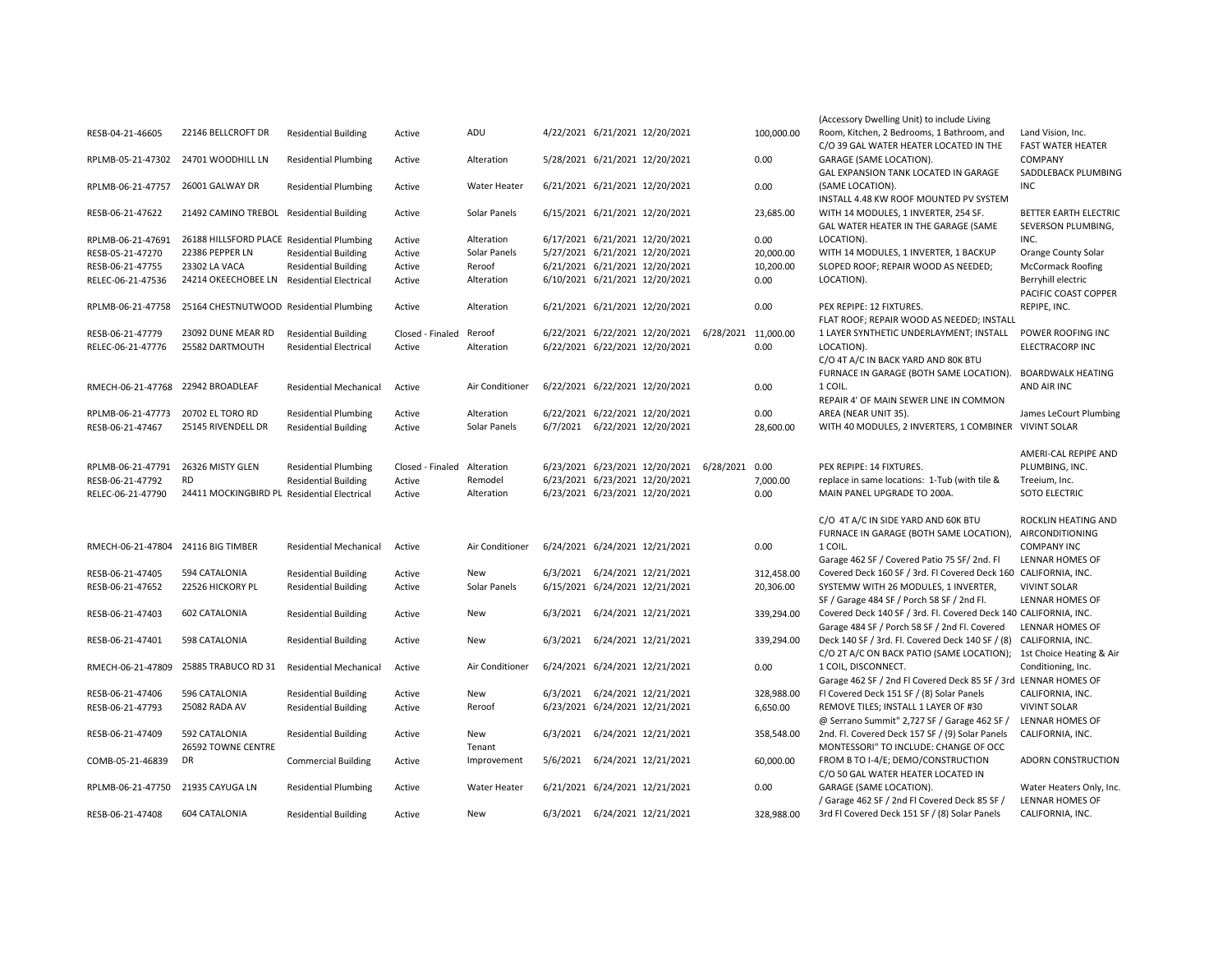|                                    |                                             |                               |                             |                     |          |                                               |                     |            | (Accessory Dwelling Unit) to include Living                        |                          |
|------------------------------------|---------------------------------------------|-------------------------------|-----------------------------|---------------------|----------|-----------------------------------------------|---------------------|------------|--------------------------------------------------------------------|--------------------------|
| RESB-04-21-46605                   | 22146 BELLCROFT DR                          | <b>Residential Building</b>   | Active                      | ADU                 |          | 4/22/2021 6/21/2021 12/20/2021                |                     | 100,000.00 | Room, Kitchen, 2 Bedrooms, 1 Bathroom, and                         | Land Vision, Inc.        |
|                                    |                                             |                               |                             |                     |          |                                               |                     |            | C/O 39 GAL WATER HEATER LOCATED IN THE                             | <b>FAST WATER HEATER</b> |
| RPLMB-05-21-47302                  | 24701 WOODHILL LN                           | <b>Residential Plumbing</b>   | Active                      | Alteration          |          | 5/28/2021 6/21/2021 12/20/2021                |                     | 0.00       | GARAGE (SAME LOCATION).                                            | <b>COMPANY</b>           |
|                                    |                                             |                               |                             |                     |          |                                               |                     |            | GAL EXPANSION TANK LOCATED IN GARAGE                               | SADDLEBACK PLUMBING      |
| RPLMB-06-21-47757 26001 GALWAY DR  |                                             | <b>Residential Plumbing</b>   | Active                      | Water Heater        |          | 6/21/2021 6/21/2021 12/20/2021                |                     | 0.00       | (SAME LOCATION).                                                   | <b>INC</b>               |
|                                    |                                             |                               |                             |                     |          |                                               |                     |            | INSTALL 4.48 KW ROOF MOUNTED PV SYSTEM                             |                          |
| RESB-06-21-47622                   | 21492 CAMINO TREBOL                         | <b>Residential Building</b>   | Active                      | Solar Panels        |          | 6/15/2021 6/21/2021 12/20/2021                |                     | 23,685.00  | WITH 14 MODULES, 1 INVERTER, 254 SF.                               | BETTER EARTH ELECTRIC    |
|                                    |                                             |                               |                             |                     |          |                                               |                     |            | GAL WATER HEATER IN THE GARAGE (SAME                               | SEVERSON PLUMBING,       |
| RPLMB-06-21-47691                  | 26188 HILLSFORD PLACE Residential Plumbing  |                               | Active                      | Alteration          |          | 6/17/2021 6/21/2021 12/20/2021                |                     | 0.00       | LOCATION).                                                         | INC.                     |
| RESB-05-21-47270                   | 22386 PEPPER LN                             | <b>Residential Building</b>   | Active                      | Solar Panels        |          | 5/27/2021 6/21/2021 12/20/2021                |                     | 20,000.00  | WITH 14 MODULES, 1 INVERTER, 1 BACKUP                              | Orange County Solar      |
| RESB-06-21-47755                   | 23302 LA VACA                               | <b>Residential Building</b>   | Active                      | Reroof              |          | 6/21/2021 6/21/2021 12/20/2021                |                     | 10,200.00  | SLOPED ROOF; REPAIR WOOD AS NEEDED;                                | <b>McCormack Roofing</b> |
| RELEC-06-21-47536                  | 24214 OKEECHOBEE LN                         | <b>Residential Electrical</b> | Active                      | Alteration          |          | 6/10/2021 6/21/2021 12/20/2021                |                     | 0.00       | LOCATION).                                                         | Berryhill electric       |
|                                    |                                             |                               |                             |                     |          |                                               |                     |            |                                                                    | PACIFIC COAST COPPER     |
| RPLMB-06-21-47758                  | 25164 CHESTNUTWOOD Residential Plumbing     |                               | Active                      | Alteration          |          | 6/21/2021 6/21/2021 12/20/2021                |                     | 0.00       | PEX REPIPE: 12 FIXTURES.                                           | REPIPE, INC.             |
|                                    |                                             |                               |                             |                     |          |                                               |                     |            | FLAT ROOF; REPAIR WOOD AS NEEDED; INSTALL                          |                          |
| RESB-06-21-47779                   | 23092 DUNE MEAR RD                          | <b>Residential Building</b>   | Closed - Finaled            | Reroof              |          | 6/22/2021 6/22/2021 12/20/2021                | 6/28/2021 11,000.00 |            | 1 LAYER SYNTHETIC UNDERLAYMENT; INSTALL                            | POWER ROOFING INC        |
| RELEC-06-21-47776                  | 25582 DARTMOUTH                             | <b>Residential Electrical</b> | Active                      | Alteration          |          | 6/22/2021 6/22/2021 12/20/2021                |                     | 0.00       | LOCATION).                                                         | <b>ELECTRACORP INC</b>   |
|                                    |                                             |                               |                             |                     |          |                                               |                     |            | C/O 4T A/C IN BACK YARD AND 80K BTU                                |                          |
|                                    |                                             |                               |                             |                     |          |                                               |                     |            | FURNACE IN GARAGE (BOTH SAME LOCATION).                            | <b>BOARDWALK HEATING</b> |
| RMECH-06-21-47768                  | 22942 BROADLEAF                             | <b>Residential Mechanical</b> | Active                      | Air Conditioner     |          | 6/22/2021 6/22/2021 12/20/2021                |                     | 0.00       | 1 COIL.                                                            | AND AIR INC              |
|                                    |                                             |                               |                             |                     |          |                                               |                     |            | REPAIR 4' OF MAIN SEWER LINE IN COMMON                             |                          |
| RPLMB-06-21-47773                  | 20702 EL TORO RD                            | <b>Residential Plumbing</b>   | Active                      | Alteration          |          | 6/22/2021 6/22/2021 12/20/2021                |                     | 0.00       | AREA (NEAR UNIT 35).                                               | James LeCourt Plumbing   |
| RESB-06-21-47467                   | 25145 RIVENDELL DR                          | <b>Residential Building</b>   | Active                      | Solar Panels        |          | 6/7/2021 6/22/2021 12/20/2021                 |                     | 28,600.00  | WITH 40 MODULES, 2 INVERTERS, 1 COMBINER VIVINT SOLAR              |                          |
|                                    |                                             |                               |                             |                     |          |                                               |                     |            |                                                                    |                          |
|                                    |                                             |                               |                             |                     |          |                                               |                     |            |                                                                    | AMERI-CAL REPIPE AND     |
| RPLMB-06-21-47791                  | 26326 MISTY GLEN                            | <b>Residential Plumbing</b>   | Closed - Finaled Alteration |                     |          | 6/23/2021 6/23/2021 12/20/2021 6/28/2021 0.00 |                     |            | PEX REPIPE: 14 FIXTURES.                                           | PLUMBING, INC.           |
| RESB-06-21-47792                   | <b>RD</b>                                   | <b>Residential Building</b>   | Active                      | Remodel             |          | 6/23/2021 6/23/2021 12/20/2021                |                     | 7,000.00   | replace in same locations: 1-Tub (with tile &                      | Treeium, Inc.            |
| RELEC-06-21-47790                  | 24411 MOCKINGBIRD PL Residential Electrical |                               | Active                      | Alteration          |          | 6/23/2021 6/23/2021 12/20/2021                |                     | 0.00       | MAIN PANEL UPGRADE TO 200A.                                        | <b>SOTO ELECTRIC</b>     |
|                                    |                                             |                               |                             |                     |          |                                               |                     |            |                                                                    |                          |
|                                    |                                             |                               |                             |                     |          |                                               |                     |            | C/O 4T A/C IN SIDE YARD AND 60K BTU                                | ROCKLIN HEATING AND      |
|                                    |                                             |                               |                             |                     |          |                                               |                     |            | FURNACE IN GARAGE (BOTH SAME LOCATION),                            | AIRCONDITIONING          |
| RMECH-06-21-47804 24116 BIG TIMBER |                                             | <b>Residential Mechanical</b> | Active                      | Air Conditioner     |          | 6/24/2021 6/24/2021 12/21/2021                |                     | 0.00       | 1 COIL.                                                            | <b>COMPANY INC</b>       |
|                                    |                                             |                               |                             |                     |          |                                               |                     |            | Garage 462 SF / Covered Patio 75 SF/ 2nd. Fl                       | LENNAR HOMES OF          |
| RESB-06-21-47405                   | 594 CATALONIA                               | <b>Residential Building</b>   | Active                      | New                 |          | 6/3/2021 6/24/2021 12/21/2021                 |                     | 312,458.00 | Covered Deck 160 SF / 3rd. Fl Covered Deck 160 CALIFORNIA, INC.    |                          |
| RESB-06-21-47652                   | 22526 HICKORY PL                            | <b>Residential Building</b>   | Active                      | Solar Panels        |          | 6/15/2021 6/24/2021 12/21/2021                |                     | 20,306.00  | SYSTEMW WITH 26 MODULES, 1 INVERTER,                               | <b>VIVINT SOLAR</b>      |
|                                    |                                             |                               |                             |                     |          |                                               |                     |            | SF / Garage 484 SF / Porch 58 SF / 2nd Fl.                         | LENNAR HOMES OF          |
| RESB-06-21-47403                   | 602 CATALONIA                               | <b>Residential Building</b>   | Active                      | New                 | 6/3/2021 | 6/24/2021 12/21/2021                          |                     | 339,294.00 | Covered Deck 140 SF / 3rd. Fl. Covered Deck 140 CALIFORNIA, INC.   |                          |
|                                    |                                             |                               |                             |                     |          |                                               |                     |            | Garage 484 SF / Porch 58 SF / 2nd Fl. Covered                      | LENNAR HOMES OF          |
| RESB-06-21-47401                   | 598 CATALONIA                               | <b>Residential Building</b>   | Active                      | New                 | 6/3/2021 | 6/24/2021 12/21/2021                          |                     | 339,294.00 | Deck 140 SF / 3rd. Fl. Covered Deck 140 SF / (8) CALIFORNIA, INC.  |                          |
|                                    |                                             |                               |                             |                     |          |                                               |                     |            | C/O 2T A/C ON BACK PATIO (SAME LOCATION); 1st Choice Heating & Air |                          |
| RMECH-06-21-47809                  | 25885 TRABUCO RD 31                         | <b>Residential Mechanical</b> | Active                      | Air Conditioner     |          | 6/24/2021 6/24/2021 12/21/2021                |                     | 0.00       | 1 COIL, DISCONNECT.                                                | Conditioning, Inc.       |
|                                    |                                             |                               |                             |                     |          |                                               |                     |            | Garage 462 SF / 2nd Fl Covered Deck 85 SF / 3rd LENNAR HOMES OF    |                          |
| RESB-06-21-47406                   | 596 CATALONIA                               | <b>Residential Building</b>   | Active                      | New                 |          | 6/3/2021 6/24/2021 12/21/2021                 |                     | 328,988.00 | Fl Covered Deck 151 SF / (8) Solar Panels                          | CALIFORNIA, INC.         |
| RESB-06-21-47793                   | 25082 RADA AV                               | <b>Residential Building</b>   | Active                      | Reroof              |          | 6/23/2021 6/24/2021 12/21/2021                |                     | 6,650.00   | REMOVE TILES; INSTALL 1 LAYER OF #30                               | <b>VIVINT SOLAR</b>      |
|                                    |                                             |                               |                             |                     |          |                                               |                     |            | @ Serrano Summit" 2,727 SF / Garage 462 SF /                       | LENNAR HOMES OF          |
| RESB-06-21-47409                   | 592 CATALONIA                               | <b>Residential Building</b>   | Active                      | New                 | 6/3/2021 | 6/24/2021 12/21/2021                          |                     | 358,548.00 | 2nd. Fl. Covered Deck 157 SF / (9) Solar Panels                    | CALIFORNIA, INC.         |
|                                    | 26592 TOWNE CENTRE                          |                               |                             | Tenant              |          |                                               |                     |            | MONTESSORI" TO INCLUDE: CHANGE OF OCC                              |                          |
| COMB-05-21-46839                   | DR                                          | <b>Commercial Building</b>    | Active                      | Improvement         |          | 5/6/2021 6/24/2021 12/21/2021                 |                     | 60,000.00  | FROM B TO I-4/E; DEMO/CONSTRUCTION                                 | ADORN CONSTRUCTION       |
|                                    |                                             |                               |                             |                     |          |                                               |                     |            | C/O 50 GAL WATER HEATER LOCATED IN                                 |                          |
| RPLMB-06-21-47750 21935 CAYUGA LN  |                                             | <b>Residential Plumbing</b>   | Active                      | <b>Water Heater</b> |          | 6/21/2021 6/24/2021 12/21/2021                |                     | 0.00       | GARAGE (SAME LOCATION).                                            | Water Heaters Only, Inc. |
|                                    |                                             |                               |                             |                     |          |                                               |                     |            | / Garage 462 SF / 2nd Fl Covered Deck 85 SF /                      | LENNAR HOMES OF          |
| RESB-06-21-47408                   | 604 CATALONIA                               | <b>Residential Building</b>   | Active                      | New                 |          | 6/3/2021 6/24/2021 12/21/2021                 |                     | 328.988.00 | 3rd Fl Covered Deck 151 SF / (8) Solar Panels                      | CALIFORNIA. INC.         |
|                                    |                                             |                               |                             |                     |          |                                               |                     |            |                                                                    |                          |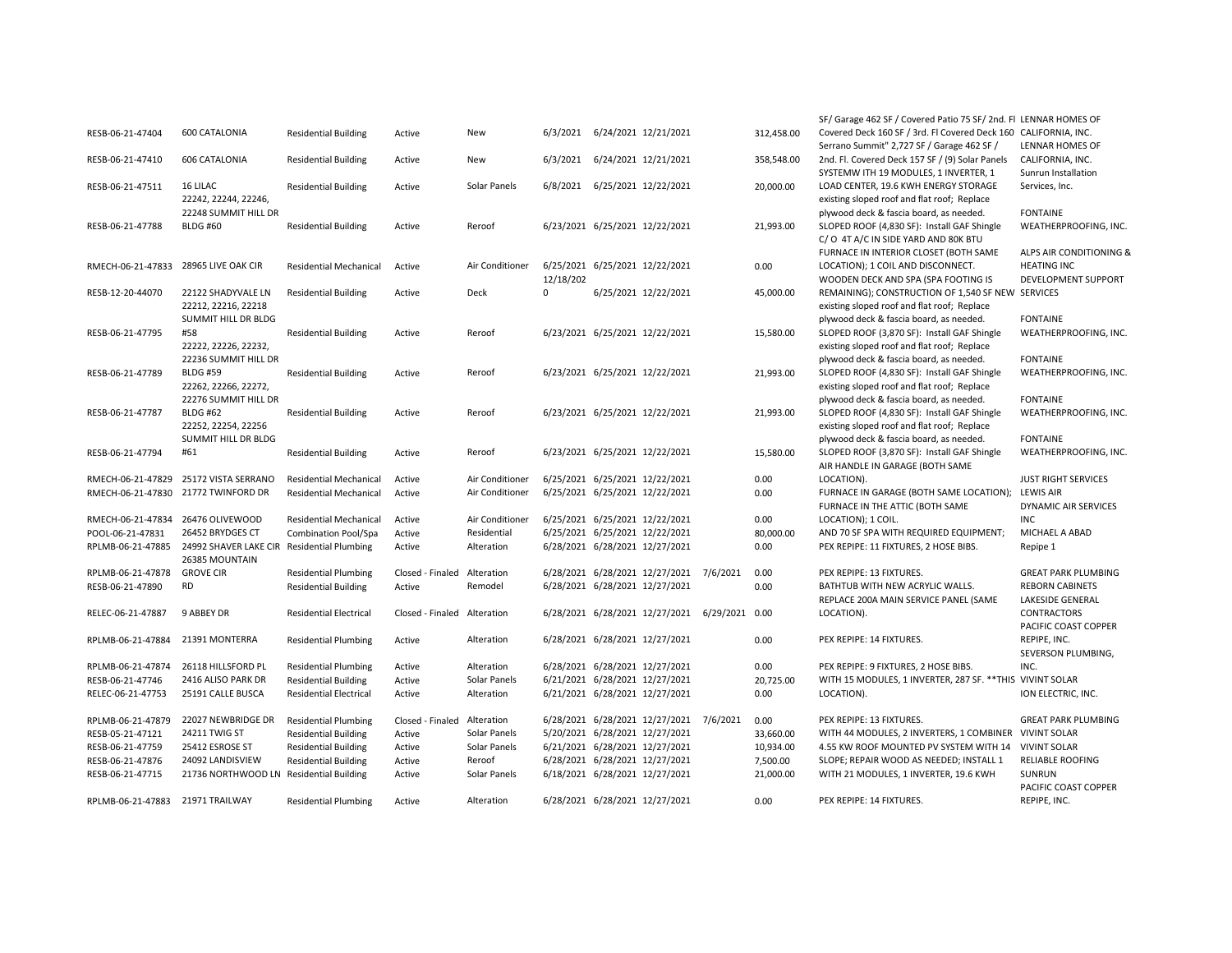|                                   |                                            |                               |                  |                 |             |                                               |            | SF/ Garage 462 SF / Covered Patio 75 SF/ 2nd. FI LENNAR HOMES OF |                            |
|-----------------------------------|--------------------------------------------|-------------------------------|------------------|-----------------|-------------|-----------------------------------------------|------------|------------------------------------------------------------------|----------------------------|
| RESB-06-21-47404                  | 600 CATALONIA                              | <b>Residential Building</b>   | Active           | New             | 6/3/2021    | 6/24/2021 12/21/2021                          | 312,458.00 | Covered Deck 160 SF / 3rd. Fl Covered Deck 160 CALIFORNIA, INC.  |                            |
|                                   |                                            |                               |                  |                 |             |                                               |            | Serrano Summit" 2,727 SF / Garage 462 SF /                       | <b>LENNAR HOMES OF</b>     |
| RESB-06-21-47410                  | 606 CATALONIA                              | <b>Residential Building</b>   | Active           | New             | 6/3/2021    | 6/24/2021 12/21/2021                          | 358,548.00 | 2nd. Fl. Covered Deck 157 SF / (9) Solar Panels                  | CALIFORNIA, INC.           |
|                                   |                                            |                               |                  |                 |             |                                               |            | SYSTEMW ITH 19 MODULES, 1 INVERTER, 1                            | Sunrun Installation        |
| RESB-06-21-47511                  | 16 LILAC                                   | <b>Residential Building</b>   | Active           | Solar Panels    | 6/8/2021    | 6/25/2021 12/22/2021                          | 20,000.00  | LOAD CENTER, 19.6 KWH ENERGY STORAGE                             | Services, Inc.             |
|                                   | 22242, 22244, 22246,                       |                               |                  |                 |             |                                               |            | existing sloped roof and flat roof; Replace                      |                            |
|                                   | 22248 SUMMIT HILL DR                       |                               |                  |                 |             |                                               |            | plywood deck & fascia board, as needed.                          | <b>FONTAINE</b>            |
| RESB-06-21-47788                  | <b>BLDG #60</b>                            | <b>Residential Building</b>   | Active           | Reroof          |             | 6/23/2021 6/25/2021 12/22/2021                | 21,993.00  | SLOPED ROOF (4,830 SF): Install GAF Shingle                      | WEATHERPROOFING, INC.      |
|                                   |                                            |                               |                  |                 |             |                                               |            | C/O 4T A/C IN SIDE YARD AND 80K BTU                              |                            |
|                                   |                                            |                               |                  |                 |             |                                               |            | FURNACE IN INTERIOR CLOSET (BOTH SAME                            | ALPS AIR CONDITIONING &    |
| RMECH-06-21-47833                 | 28965 LIVE OAK CIR                         | <b>Residential Mechanical</b> | Active           | Air Conditioner |             | 6/25/2021 6/25/2021 12/22/2021                | 0.00       | LOCATION); 1 COIL AND DISCONNECT.                                | <b>HEATING INC</b>         |
|                                   |                                            |                               |                  |                 | 12/18/202   |                                               |            | WOODEN DECK AND SPA (SPA FOOTING IS                              | DEVELOPMENT SUPPORT        |
| RESB-12-20-44070                  | 22122 SHADYVALE LN                         | <b>Residential Building</b>   | Active           | Deck            | $\mathbf 0$ | 6/25/2021 12/22/2021                          | 45,000.00  | REMAINING); CONSTRUCTION OF 1,540 SF NEW SERVICES                |                            |
|                                   | 22212, 22216, 22218                        |                               |                  |                 |             |                                               |            | existing sloped roof and flat roof; Replace                      |                            |
|                                   | SUMMIT HILL DR BLDG                        |                               |                  |                 |             |                                               |            | plywood deck & fascia board, as needed.                          | <b>FONTAINE</b>            |
| RESB-06-21-47795                  | #58                                        | <b>Residential Building</b>   | Active           | Reroof          |             | 6/23/2021 6/25/2021 12/22/2021                | 15,580.00  | SLOPED ROOF (3,870 SF): Install GAF Shingle                      | WEATHERPROOFING, INC.      |
|                                   | 22222, 22226, 22232,                       |                               |                  |                 |             |                                               |            | existing sloped roof and flat roof; Replace                      |                            |
|                                   | 22236 SUMMIT HILL DR                       |                               |                  |                 |             |                                               |            | plywood deck & fascia board, as needed.                          | <b>FONTAINE</b>            |
| RESB-06-21-47789                  | <b>BLDG #59</b>                            | <b>Residential Building</b>   | Active           | Reroof          |             | 6/23/2021 6/25/2021 12/22/2021                | 21,993.00  | SLOPED ROOF (4,830 SF): Install GAF Shingle                      | WEATHERPROOFING, INC.      |
|                                   | 22262, 22266, 22272,                       |                               |                  |                 |             |                                               |            | existing sloped roof and flat roof; Replace                      |                            |
|                                   | 22276 SUMMIT HILL DR                       |                               |                  |                 |             |                                               |            | plywood deck & fascia board, as needed.                          | <b>FONTAINE</b>            |
| RESB-06-21-47787                  | <b>BLDG #62</b>                            | <b>Residential Building</b>   | Active           | Reroof          |             | 6/23/2021 6/25/2021 12/22/2021                | 21,993.00  | SLOPED ROOF (4,830 SF): Install GAF Shingle                      | WEATHERPROOFING, INC.      |
|                                   | 22252, 22254, 22256                        |                               |                  |                 |             |                                               |            | existing sloped roof and flat roof; Replace                      |                            |
|                                   | SUMMIT HILL DR BLDG                        |                               |                  |                 |             |                                               |            | plywood deck & fascia board, as needed.                          | <b>FONTAINE</b>            |
| RESB-06-21-47794                  | #61                                        | <b>Residential Building</b>   | Active           | Reroof          |             | 6/23/2021 6/25/2021 12/22/2021                | 15,580.00  | SLOPED ROOF (3,870 SF): Install GAF Shingle                      | WEATHERPROOFING, INC.      |
|                                   |                                            |                               |                  |                 |             |                                               |            | AIR HANDLE IN GARAGE (BOTH SAME                                  |                            |
| RMECH-06-21-47829                 | 25172 VISTA SERRANO                        | <b>Residential Mechanical</b> | Active           | Air Conditioner |             | 6/25/2021 6/25/2021 12/22/2021                | 0.00       | LOCATION).                                                       | <b>JUST RIGHT SERVICES</b> |
| RMECH-06-21-47830                 | 21772 TWINFORD DR                          | <b>Residential Mechanical</b> | Active           | Air Conditioner |             | 6/25/2021 6/25/2021 12/22/2021                | 0.00       | FURNACE IN GARAGE (BOTH SAME LOCATION); LEWIS AIR                |                            |
|                                   |                                            |                               |                  |                 |             |                                               |            | FURNACE IN THE ATTIC (BOTH SAME                                  | DYNAMIC AIR SERVICES       |
| RMECH-06-21-47834 26476 OLIVEWOOD |                                            | <b>Residential Mechanical</b> | Active           | Air Conditioner |             | 6/25/2021 6/25/2021 12/22/2021                | 0.00       | LOCATION); 1 COIL.                                               | <b>INC</b>                 |
| POOL-06-21-47831                  | 26452 BRYDGES CT                           | Combination Pool/Spa          | Active           | Residential     |             | 6/25/2021 6/25/2021 12/22/2021                | 80,000.00  | AND 70 SF SPA WITH REQUIRED EQUIPMENT;                           | MICHAEL A ABAD             |
| RPLMB-06-21-47885                 | 24992 SHAVER LAKE CIR Residential Plumbing |                               | Active           | Alteration      |             | 6/28/2021 6/28/2021 12/27/2021                | 0.00       | PEX REPIPE: 11 FIXTURES, 2 HOSE BIBS.                            | Repipe 1                   |
|                                   | 26385 MOUNTAIN                             |                               |                  |                 |             |                                               |            |                                                                  |                            |
| RPLMB-06-21-47878                 | <b>GROVE CIR</b>                           | <b>Residential Plumbing</b>   | Closed - Finaled | Alteration      |             | 6/28/2021 6/28/2021 12/27/2021 7/6/2021       | 0.00       | PEX REPIPE: 13 FIXTURES.                                         | <b>GREAT PARK PLUMBING</b> |
| RESB-06-21-47890                  | <b>RD</b>                                  | <b>Residential Building</b>   | Active           | Remodel         |             | 6/28/2021 6/28/2021 12/27/2021                | 0.00       | BATHTUB WITH NEW ACRYLIC WALLS.                                  | <b>REBORN CABINETS</b>     |
|                                   |                                            |                               |                  |                 |             |                                               |            | REPLACE 200A MAIN SERVICE PANEL (SAME                            | LAKESIDE GENERAL           |
| RELEC-06-21-47887                 | 9 ABBEY DR                                 | <b>Residential Electrical</b> | Closed - Finaled | Alteration      |             | 6/28/2021 6/28/2021 12/27/2021 6/29/2021 0.00 |            | LOCATION).                                                       | CONTRACTORS                |
|                                   |                                            |                               |                  |                 |             |                                               |            |                                                                  | PACIFIC COAST COPPER       |
| RPLMB-06-21-47884                 | 21391 MONTERRA                             | <b>Residential Plumbing</b>   | Active           | Alteration      |             | 6/28/2021 6/28/2021 12/27/2021                | 0.00       | PEX REPIPE: 14 FIXTURES.                                         | REPIPE, INC.               |
|                                   |                                            |                               |                  |                 |             |                                               |            |                                                                  | SEVERSON PLUMBING,         |
| RPLMB-06-21-47874                 | 26118 HILLSFORD PL                         | <b>Residential Plumbing</b>   | Active           | Alteration      |             | 6/28/2021 6/28/2021 12/27/2021                | 0.00       | PEX REPIPE: 9 FIXTURES, 2 HOSE BIBS.                             | INC.                       |
| RESB-06-21-47746                  | 2416 ALISO PARK DR                         | <b>Residential Building</b>   | Active           | Solar Panels    |             | 6/21/2021 6/28/2021 12/27/2021                | 20,725.00  | WITH 15 MODULES, 1 INVERTER, 287 SF. ** THIS VIVINT SOLAR        |                            |
| RELEC-06-21-47753                 | 25191 CALLE BUSCA                          | <b>Residential Electrical</b> | Active           | Alteration      |             | 6/21/2021 6/28/2021 12/27/2021                | 0.00       | LOCATION).                                                       | ION ELECTRIC, INC.         |
|                                   |                                            |                               |                  |                 |             |                                               |            |                                                                  |                            |
| RPLMB-06-21-47879                 | 22027 NEWBRIDGE DR                         | <b>Residential Plumbing</b>   | Closed - Finaled | Alteration      |             | 6/28/2021 6/28/2021 12/27/2021 7/6/2021       | 0.00       | PEX REPIPE: 13 FIXTURES.                                         | <b>GREAT PARK PLUMBING</b> |
| RESB-05-21-47121                  | 24211 TWIG ST                              | <b>Residential Building</b>   | Active           | Solar Panels    |             | 5/20/2021 6/28/2021 12/27/2021                | 33,660.00  | WITH 44 MODULES, 2 INVERTERS, 1 COMBINER VIVINT SOLAR            |                            |
| RESB-06-21-47759                  | 25412 ESROSE ST                            | <b>Residential Building</b>   | Active           | Solar Panels    |             | 6/21/2021 6/28/2021 12/27/2021                | 10,934.00  | 4.55 KW ROOF MOUNTED PV SYSTEM WITH 14                           | <b>VIVINT SOLAR</b>        |
| RESB-06-21-47876                  | 24092 LANDISVIEW                           | <b>Residential Building</b>   | Active           | Reroof          |             | 6/28/2021 6/28/2021 12/27/2021                | 7,500.00   | SLOPE; REPAIR WOOD AS NEEDED; INSTALL 1                          | <b>RELIABLE ROOFING</b>    |
| RESB-06-21-47715                  | 21736 NORTHWOOD LN Residential Building    |                               | Active           | Solar Panels    |             | 6/18/2021 6/28/2021 12/27/2021                | 21,000.00  | WITH 21 MODULES, 1 INVERTER, 19.6 KWH                            | SUNRUN                     |
|                                   |                                            |                               |                  |                 |             |                                               |            |                                                                  | PACIFIC COAST COPPER       |
| RPLMB-06-21-47883                 | 21971 TRAILWAY                             | <b>Residential Plumbing</b>   | Active           | Alteration      |             | 6/28/2021 6/28/2021 12/27/2021                | 0.00       | PEX REPIPE: 14 FIXTURES.                                         | REPIPE, INC.               |
|                                   |                                            |                               |                  |                 |             |                                               |            |                                                                  |                            |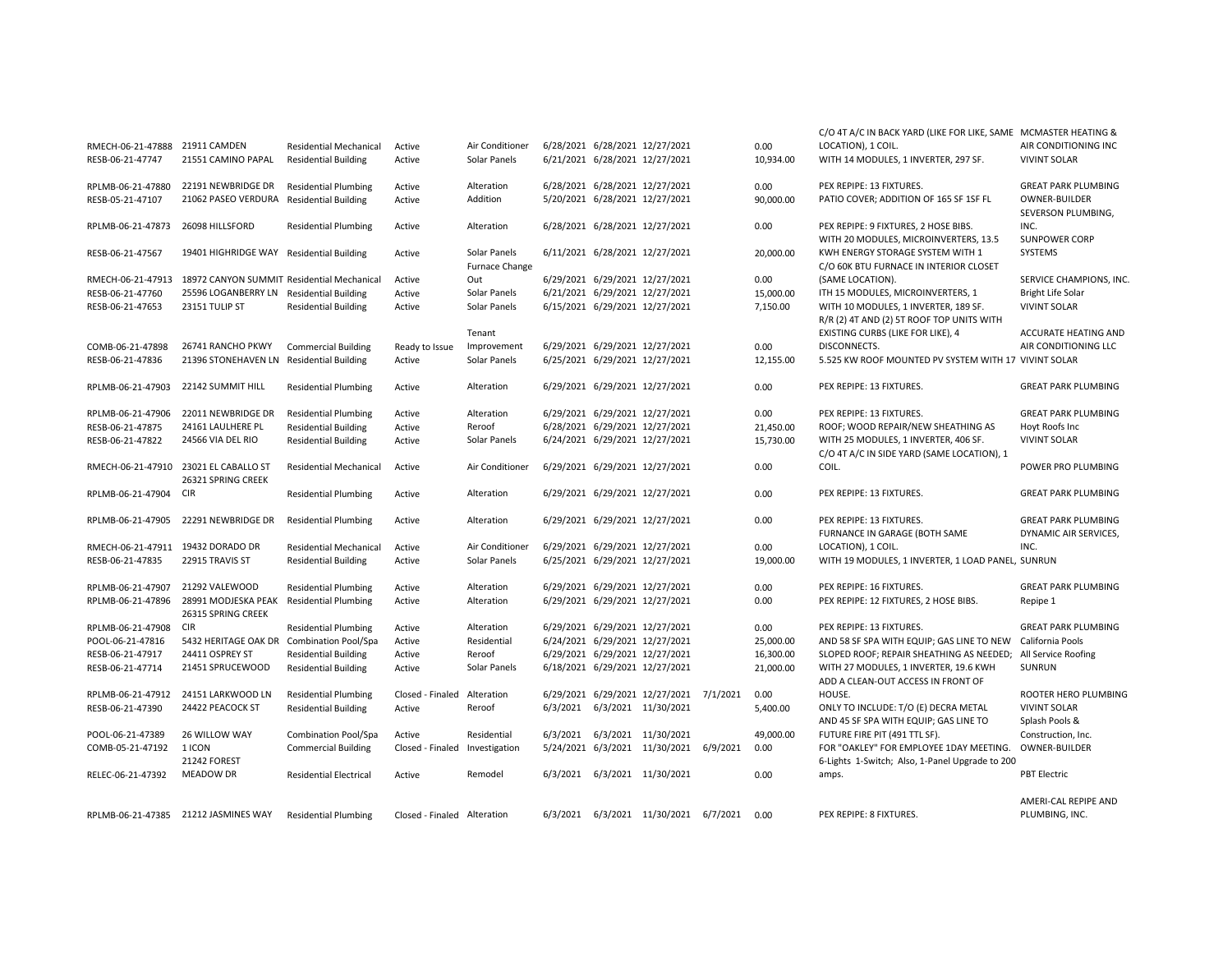| RMECH-06-21-47888                 | 21911 CAMDEN                               | <b>Residential Mechanical</b>                             | Active                      | Air Conditioner       |          | 6/28/2021 6/28/2021 12/27/2021                                | 0.00      | C/O 4T A/C IN BACK YARD (LIKE FOR LIKE, SAME MCMASTER HEATING &<br>LOCATION), 1 COIL. | AIR CONDITIONING INC                |
|-----------------------------------|--------------------------------------------|-----------------------------------------------------------|-----------------------------|-----------------------|----------|---------------------------------------------------------------|-----------|---------------------------------------------------------------------------------------|-------------------------------------|
| RESB-06-21-47747                  | 21551 CAMINO PAPAL                         | <b>Residential Building</b>                               | Active                      | Solar Panels          |          | 6/21/2021 6/28/2021 12/27/2021                                | 10,934.00 | WITH 14 MODULES, 1 INVERTER, 297 SF.                                                  | <b>VIVINT SOLAR</b>                 |
|                                   |                                            |                                                           |                             |                       |          |                                                               |           |                                                                                       |                                     |
| RPLMB-06-21-47880                 | 22191 NEWBRIDGE DR                         | <b>Residential Plumbing</b>                               | Active                      | Alteration            |          | 6/28/2021 6/28/2021 12/27/2021                                | 0.00      | PEX REPIPE: 13 FIXTURES.                                                              | <b>GREAT PARK PLUMBING</b>          |
| RESB-05-21-47107                  | 21062 PASEO VERDURA Residential Building   |                                                           | Active                      | Addition              |          | 5/20/2021 6/28/2021 12/27/2021                                | 90,000.00 | PATIO COVER; ADDITION OF 165 SF 1SF FL                                                | <b>OWNER-BUILDER</b>                |
|                                   |                                            |                                                           |                             |                       |          |                                                               |           |                                                                                       | SEVERSON PLUMBING,                  |
| RPLMB-06-21-47873                 | 26098 HILLSFORD                            | <b>Residential Plumbing</b>                               | Active                      | Alteration            |          | 6/28/2021 6/28/2021 12/27/2021                                | 0.00      | PEX REPIPE: 9 FIXTURES, 2 HOSE BIBS.                                                  | INC.                                |
|                                   |                                            |                                                           |                             |                       |          |                                                               |           | WITH 20 MODULES, MICROINVERTERS, 13.5                                                 | <b>SUNPOWER CORP</b>                |
| RESB-06-21-47567                  | 19401 HIGHRIDGE WAY Residential Building   |                                                           | Active                      | Solar Panels          |          | 6/11/2021 6/28/2021 12/27/2021                                | 20,000.00 | KWH ENERGY STORAGE SYSTEM WITH 1                                                      | SYSTEMS                             |
|                                   |                                            |                                                           |                             | <b>Furnace Change</b> |          |                                                               |           | C/O 60K BTU FURNACE IN INTERIOR CLOSET                                                |                                     |
| RMECH-06-21-47913                 | 18972 CANYON SUMMIT Residential Mechanical |                                                           | Active                      | Out                   |          | 6/29/2021 6/29/2021 12/27/2021                                | 0.00      | (SAME LOCATION).                                                                      | SERVICE CHAMPIONS, INC.             |
| RESB-06-21-47760                  | 25596 LOGANBERRY LN                        | <b>Residential Building</b>                               | Active                      | Solar Panels          |          | 6/21/2021 6/29/2021 12/27/2021                                | 15,000.00 | ITH 15 MODULES, MICROINVERTERS, 1                                                     | <b>Bright Life Solar</b>            |
| RESB-06-21-47653                  | 23151 TULIP ST                             | <b>Residential Building</b>                               | Active                      | Solar Panels          |          | 6/15/2021 6/29/2021 12/27/2021                                | 7,150.00  | WITH 10 MODULES, 1 INVERTER, 189 SF.                                                  | <b>VIVINT SOLAR</b>                 |
|                                   |                                            |                                                           |                             |                       |          |                                                               |           | R/R (2) 4T AND (2) 5T ROOF TOP UNITS WITH                                             |                                     |
|                                   |                                            |                                                           |                             | Tenant                |          |                                                               |           | EXISTING CURBS (LIKE FOR LIKE), 4                                                     | ACCURATE HEATING AND                |
| COMB-06-21-47898                  | 26741 RANCHO PKWY                          | <b>Commercial Building</b>                                | Ready to Issue              | Improvement           |          | 6/29/2021 6/29/2021 12/27/2021                                | 0.00      | DISCONNECTS.                                                                          | AIR CONDITIONING LLC                |
| RESB-06-21-47836                  | 21396 STONEHAVEN LN Residential Building   |                                                           | Active                      | Solar Panels          |          | 6/25/2021 6/29/2021 12/27/2021                                | 12,155.00 | 5.525 KW ROOF MOUNTED PV SYSTEM WITH 17 VIVINT SOLAR                                  |                                     |
| RPLMB-06-21-47903                 | 22142 SUMMIT HILL                          | <b>Residential Plumbing</b>                               | Active                      | Alteration            |          | 6/29/2021 6/29/2021 12/27/2021                                | 0.00      | PEX REPIPE: 13 FIXTURES.                                                              | <b>GREAT PARK PLUMBING</b>          |
|                                   |                                            |                                                           |                             |                       |          |                                                               |           |                                                                                       |                                     |
| RPLMB-06-21-47906                 | 22011 NEWBRIDGE DR                         | <b>Residential Plumbing</b>                               | Active                      | Alteration            |          | 6/29/2021 6/29/2021 12/27/2021                                | 0.00      | PEX REPIPE: 13 FIXTURES.                                                              | <b>GREAT PARK PLUMBING</b>          |
| RESB-06-21-47875                  | 24161 LAULHERE PL                          | <b>Residential Building</b>                               | Active                      | Reroof                |          | 6/28/2021 6/29/2021 12/27/2021                                | 21,450.00 | ROOF; WOOD REPAIR/NEW SHEATHING AS                                                    | Hoyt Roofs Inc                      |
| RESB-06-21-47822                  | 24566 VIA DEL RIO                          | <b>Residential Building</b>                               | Active                      | Solar Panels          |          | 6/24/2021 6/29/2021 12/27/2021                                | 15,730.00 | WITH 25 MODULES, 1 INVERTER, 406 SF.                                                  | <b>VIVINT SOLAR</b>                 |
|                                   |                                            |                                                           |                             |                       |          |                                                               |           | C/O 4T A/C IN SIDE YARD (SAME LOCATION), 1                                            |                                     |
|                                   | RMECH-06-21-47910 23021 EL CABALLO ST      | <b>Residential Mechanical</b>                             | Active                      | Air Conditioner       |          | 6/29/2021 6/29/2021 12/27/2021                                | 0.00      | COIL.                                                                                 | POWER PRO PLUMBING                  |
|                                   | 26321 SPRING CREEK                         |                                                           |                             |                       |          |                                                               |           |                                                                                       |                                     |
| RPLMB-06-21-47904                 | <b>CIR</b>                                 | <b>Residential Plumbing</b>                               | Active                      | Alteration            |          | 6/29/2021 6/29/2021 12/27/2021                                | 0.00      | PEX REPIPE: 13 FIXTURES.                                                              | <b>GREAT PARK PLUMBING</b>          |
|                                   |                                            |                                                           |                             |                       |          |                                                               |           |                                                                                       |                                     |
| RPLMB-06-21-47905                 | 22291 NEWBRIDGE DR                         | <b>Residential Plumbing</b>                               | Active                      | Alteration            |          | 6/29/2021 6/29/2021 12/27/2021                                | 0.00      | PEX REPIPE: 13 FIXTURES.                                                              | <b>GREAT PARK PLUMBING</b>          |
| RMECH-06-21-47911 19432 DORADO DR |                                            | <b>Residential Mechanical</b>                             | Active                      | Air Conditioner       |          | 6/29/2021 6/29/2021 12/27/2021                                | 0.00      | FURNANCE IN GARAGE (BOTH SAME<br>LOCATION), 1 COIL.                                   | DYNAMIC AIR SERVICES,<br>INC.       |
| RESB-06-21-47835                  | 22915 TRAVIS ST                            | <b>Residential Building</b>                               | Active                      | Solar Panels          |          | 6/25/2021 6/29/2021 12/27/2021                                | 19,000.00 | WITH 19 MODULES, 1 INVERTER, 1 LOAD PANEL, SUNRUN                                     |                                     |
|                                   |                                            |                                                           |                             |                       |          |                                                               |           |                                                                                       |                                     |
| RPLMB-06-21-47907                 | 21292 VALEWOOD                             | <b>Residential Plumbing</b>                               | Active                      | Alteration            |          | 6/29/2021 6/29/2021 12/27/2021                                | 0.00      | PEX REPIPE: 16 FIXTURES.                                                              | <b>GREAT PARK PLUMBING</b>          |
| RPLMB-06-21-47896                 | 28991 MODJESKA PEAK Residential Plumbing   |                                                           | Active                      | Alteration            |          | 6/29/2021 6/29/2021 12/27/2021                                | 0.00      | PEX REPIPE: 12 FIXTURES, 2 HOSE BIBS.                                                 | Repipe 1                            |
|                                   | 26315 SPRING CREEK                         |                                                           |                             |                       |          |                                                               |           |                                                                                       |                                     |
| RPLMB-06-21-47908                 | <b>CIR</b>                                 | <b>Residential Plumbing</b>                               | Active                      | Alteration            |          | 6/29/2021 6/29/2021 12/27/2021                                | 0.00      | PEX REPIPE: 13 FIXTURES.                                                              | <b>GREAT PARK PLUMBING</b>          |
| POOL-06-21-47816                  | 5432 HERITAGE OAK DR Combination Pool/Spa  |                                                           | Active                      | Residential           |          | 6/24/2021 6/29/2021 12/27/2021                                | 25,000.00 | AND 58 SF SPA WITH EQUIP; GAS LINE TO NEW                                             | California Pools                    |
| RESB-06-21-47917                  | 24411 OSPREY ST                            | <b>Residential Building</b>                               | Active                      | Reroof                |          | 6/29/2021 6/29/2021 12/27/2021                                | 16,300.00 | SLOPED ROOF; REPAIR SHEATHING AS NEEDED;                                              | All Service Roofing                 |
| RESB-06-21-47714                  | 21451 SPRUCEWOOD                           | <b>Residential Building</b>                               | Active                      | Solar Panels          |          | 6/18/2021 6/29/2021 12/27/2021                                | 21,000.00 | WITH 27 MODULES, 1 INVERTER, 19.6 KWH                                                 | SUNRUN                              |
|                                   |                                            |                                                           |                             |                       |          |                                                               |           | ADD A CLEAN-OUT ACCESS IN FRONT OF                                                    |                                     |
| RPLMB-06-21-47912                 | 24151 LARKWOOD LN                          | <b>Residential Plumbing</b>                               | Closed - Finaled            | Alteration            |          | 6/29/2021 6/29/2021 12/27/2021 7/1/2021                       | 0.00      | HOUSE.                                                                                | ROOTER HERO PLUMBING                |
| RESB-06-21-47390                  | 24422 PEACOCK ST                           | <b>Residential Building</b>                               | Active                      | Reroof                | 6/3/2021 | 6/3/2021 11/30/2021                                           | 5.400.00  | ONLY TO INCLUDE: T/O (E) DECRA METAL                                                  | <b>VIVINT SOLAR</b>                 |
| POOL-06-21-47389                  | 26 WILLOW WAY                              |                                                           |                             |                       |          |                                                               | 49,000.00 | AND 45 SF SPA WITH EQUIP; GAS LINE TO                                                 | Splash Pools &                      |
| COMB-05-21-47192                  | 1 ICON                                     | <b>Combination Pool/Spa</b><br><b>Commercial Building</b> | Active<br>Closed - Finaled  | Residential           | 6/3/2021 | 6/3/2021 11/30/2021<br>5/24/2021 6/3/2021 11/30/2021 6/9/2021 | 0.00      | FUTURE FIRE PIT (491 TTL SF).<br>FOR "OAKLEY" FOR EMPLOYEE 1DAY MEETING.              | Construction, Inc.<br>OWNER-BUILDER |
|                                   | 21242 FOREST                               |                                                           |                             | Investigation         |          |                                                               |           | 6-Lights 1-Switch; Also, 1-Panel Upgrade to 200                                       |                                     |
| RELEC-06-21-47392                 | <b>MEADOW DR</b>                           | <b>Residential Electrical</b>                             | Active                      | Remodel               | 6/3/2021 | 6/3/2021 11/30/2021                                           | 0.00      | amps.                                                                                 | <b>PBT Electric</b>                 |
|                                   |                                            |                                                           |                             |                       |          |                                                               |           |                                                                                       |                                     |
|                                   |                                            |                                                           |                             |                       |          |                                                               |           |                                                                                       | AMERI-CAL REPIPE AND                |
|                                   | RPLMB-06-21-47385 21212 JASMINES WAY       | <b>Residential Plumbing</b>                               | Closed - Finaled Alteration |                       |          | 6/3/2021 6/3/2021 11/30/2021 6/7/2021                         | 0.00      | PEX REPIPE: 8 FIXTURES.                                                               | PLUMBING, INC.                      |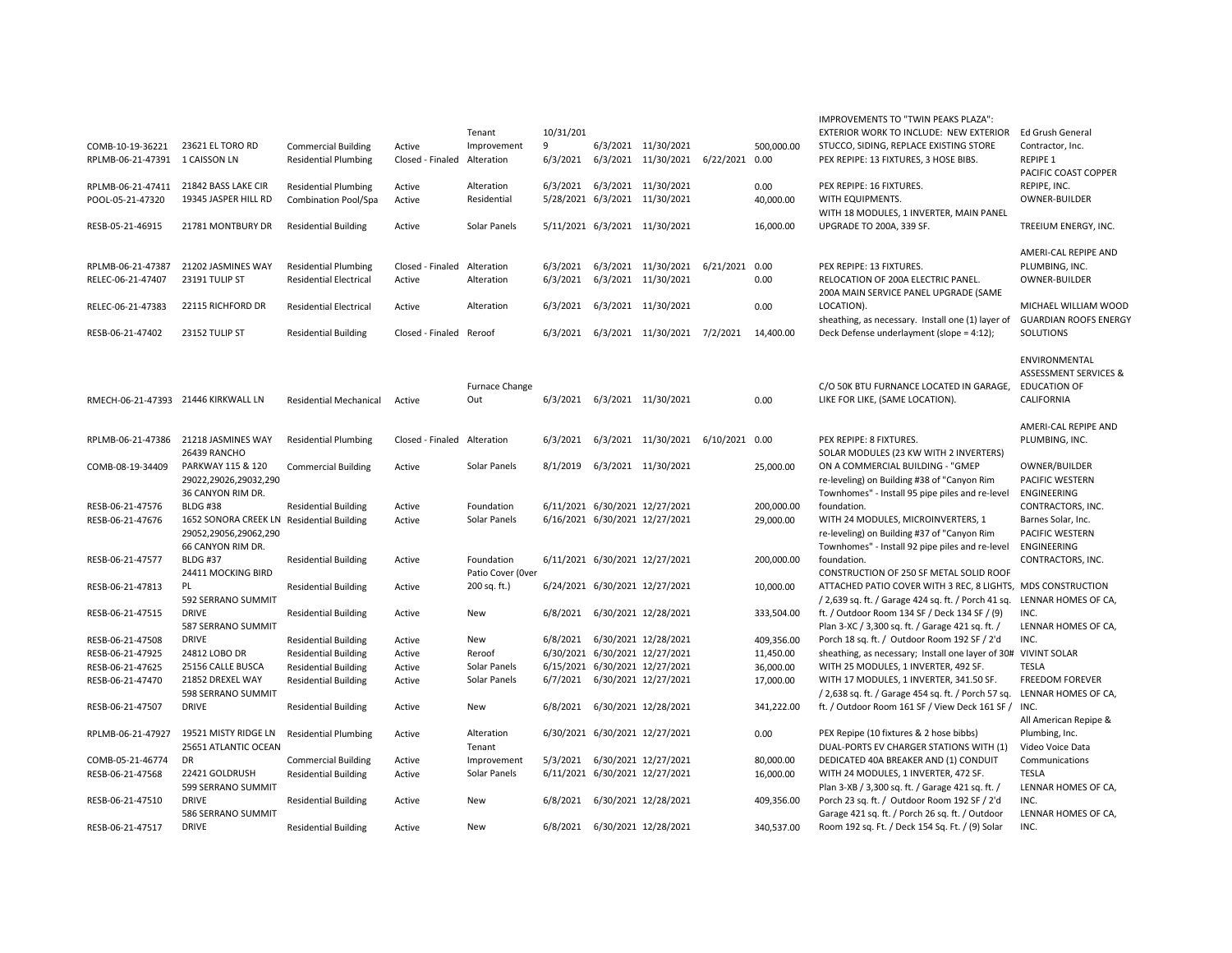|                                     |                                            |                               |                             |                       |           |                                    |            | IMPROVEMENTS TO "TWIN PEAKS PLAZA":                                                            |                                  |
|-------------------------------------|--------------------------------------------|-------------------------------|-----------------------------|-----------------------|-----------|------------------------------------|------------|------------------------------------------------------------------------------------------------|----------------------------------|
|                                     |                                            |                               |                             | Tenant                | 10/31/201 |                                    |            | EXTERIOR WORK TO INCLUDE: NEW EXTERIOR                                                         | Ed Grush General                 |
| COMB-10-19-36221                    | 23621 EL TORO RD                           | <b>Commercial Building</b>    | Active                      | Improvement           | 9         | 6/3/2021 11/30/2021                | 500.000.00 | STUCCO, SIDING, REPLACE EXISTING STORE                                                         | Contractor, Inc.                 |
| RPLMB-06-21-47391                   | 1 CAISSON LN                               | <b>Residential Plumbing</b>   | Closed - Finaled            | Alteration            | 6/3/2021  | 6/3/2021 11/30/2021 6/22/2021 0.00 |            | PEX REPIPE: 13 FIXTURES, 3 HOSE BIBS.                                                          | <b>REPIPE 1</b>                  |
|                                     |                                            |                               |                             |                       |           |                                    |            |                                                                                                | PACIFIC COAST COPPER             |
|                                     | RPLMB-06-21-47411 21842 BASS LAKE CIR      | <b>Residential Plumbing</b>   | Active                      | Alteration            |           | 6/3/2021 6/3/2021 11/30/2021       | 0.00       | PEX REPIPE: 16 FIXTURES.                                                                       | REPIPE, INC.                     |
| POOL-05-21-47320                    | 19345 JASPER HILL RD                       | Combination Pool/Spa          | Active                      | Residential           |           | 5/28/2021 6/3/2021 11/30/2021      | 40,000.00  | WITH EQUIPMENTS.                                                                               | <b>OWNER-BUILDER</b>             |
|                                     | 21781 MONTBURY DR                          |                               |                             | Solar Panels          |           | 5/11/2021 6/3/2021 11/30/2021      |            | WITH 18 MODULES, 1 INVERTER, MAIN PANEL                                                        | TREEIUM ENERGY, INC.             |
| RESB-05-21-46915                    |                                            | <b>Residential Building</b>   | Active                      |                       |           |                                    | 16,000.00  | UPGRADE TO 200A, 339 SF.                                                                       |                                  |
|                                     |                                            |                               |                             |                       |           |                                    |            |                                                                                                | AMERI-CAL REPIPE AND             |
| RPLMB-06-21-47387                   | 21202 JASMINES WAY                         | <b>Residential Plumbing</b>   | Closed - Finaled            | Alteration            | 6/3/2021  | 6/3/2021 11/30/2021 6/21/2021 0.00 |            | PEX REPIPE: 13 FIXTURES.                                                                       | PLUMBING, INC.                   |
| RELEC-06-21-47407                   | 23191 TULIP ST                             | <b>Residential Electrical</b> | Active                      | Alteration            | 6/3/2021  | 6/3/2021 11/30/2021                | 0.00       | RELOCATION OF 200A ELECTRIC PANEL.                                                             | <b>OWNER-BUILDER</b>             |
|                                     |                                            |                               |                             |                       |           |                                    |            | 200A MAIN SERVICE PANEL UPGRADE (SAME                                                          |                                  |
| RELEC-06-21-47383                   | 22115 RICHFORD DR                          | <b>Residential Electrical</b> | Active                      | Alteration            | 6/3/2021  | 6/3/2021 11/30/2021                | 0.00       | LOCATION).                                                                                     | MICHAEL WILLIAM WOOD             |
|                                     |                                            |                               |                             |                       |           |                                    |            | sheathing, as necessary. Install one (1) layer of                                              | <b>GUARDIAN ROOFS ENERGY</b>     |
| RESB-06-21-47402                    | 23152 TULIP ST                             | <b>Residential Building</b>   | Closed - Finaled            | Reroof                | 6/3/2021  | 6/3/2021 11/30/2021 7/2/2021       | 14.400.00  | Deck Defense underlayment (slope = 4:12);                                                      | SOLUTIONS                        |
|                                     |                                            |                               |                             |                       |           |                                    |            |                                                                                                |                                  |
|                                     |                                            |                               |                             |                       |           |                                    |            |                                                                                                | ENVIRONMENTAL                    |
|                                     |                                            |                               |                             |                       |           |                                    |            |                                                                                                | <b>ASSESSMENT SERVICES &amp;</b> |
|                                     |                                            |                               |                             | <b>Furnace Change</b> |           |                                    |            | C/O 50K BTU FURNANCE LOCATED IN GARAGE,                                                        | <b>EDUCATION OF</b>              |
| RMECH-06-21-47393 21446 KIRKWALL LN |                                            | <b>Residential Mechanical</b> | Active                      | Out                   | 6/3/2021  | 6/3/2021 11/30/2021                | 0.00       | LIKE FOR LIKE, (SAME LOCATION).                                                                | CALIFORNIA                       |
|                                     |                                            |                               |                             |                       |           |                                    |            |                                                                                                |                                  |
|                                     |                                            |                               |                             |                       |           |                                    |            |                                                                                                | AMERI-CAL REPIPE AND             |
|                                     | RPLMB-06-21-47386 21218 JASMINES WAY       | <b>Residential Plumbing</b>   | Closed - Finaled Alteration |                       | 6/3/2021  | 6/3/2021 11/30/2021 6/10/2021 0.00 |            | PEX REPIPE: 8 FIXTURES.                                                                        | PLUMBING, INC.                   |
|                                     | 26439 RANCHO                               |                               |                             |                       |           |                                    |            | SOLAR MODULES (23 KW WITH 2 INVERTERS)                                                         |                                  |
| COMB-08-19-34409                    | PARKWAY 115 & 120                          | <b>Commercial Building</b>    | Active                      | Solar Panels          | 8/1/2019  | 6/3/2021 11/30/2021                | 25,000.00  | ON A COMMERCIAL BUILDING - "GMEP                                                               | OWNER/BUILDER                    |
|                                     | 29022,29026,29032,290                      |                               |                             |                       |           |                                    |            | re-leveling) on Building #38 of "Canyon Rim                                                    | PACIFIC WESTERN                  |
|                                     | 36 CANYON RIM DR.                          |                               |                             |                       |           |                                    |            | Townhomes" - Install 95 pipe piles and re-level                                                | ENGINEERING                      |
| RESB-06-21-47576                    | <b>BLDG #38</b>                            | <b>Residential Building</b>   | Active                      | Foundation            |           | 6/11/2021 6/30/2021 12/27/2021     | 200,000.00 | foundation.                                                                                    | CONTRACTORS, INC.                |
| RESB-06-21-47676                    | 1652 SONORA CREEK LN                       | <b>Residential Building</b>   | Active                      | Solar Panels          |           | 6/16/2021 6/30/2021 12/27/2021     | 29,000.00  | WITH 24 MODULES, MICROINVERTERS, 1                                                             | Barnes Solar, Inc.               |
|                                     | 29052,29056,29062,290<br>66 CANYON RIM DR. |                               |                             |                       |           |                                    |            | re-leveling) on Building #37 of "Canyon Rim<br>Townhomes" - Install 92 pipe piles and re-level | PACIFIC WESTERN<br>ENGINEERING   |
| RESB-06-21-47577                    | <b>BLDG #37</b>                            |                               | Active                      | Foundation            |           | 6/11/2021 6/30/2021 12/27/2021     | 200,000.00 | foundation.                                                                                    | CONTRACTORS, INC.                |
|                                     | 24411 MOCKING BIRD                         | <b>Residential Building</b>   |                             | Patio Cover (Over     |           |                                    |            | CONSTRUCTION OF 250 SF METAL SOLID ROOF                                                        |                                  |
| RESB-06-21-47813                    | PL                                         | <b>Residential Building</b>   | Active                      | 200 sq. ft.)          |           | 6/24/2021 6/30/2021 12/27/2021     | 10,000.00  | ATTACHED PATIO COVER WITH 3 REC, 8 LIGHTS, MDS CONSTRUCTION                                    |                                  |
|                                     | 592 SERRANO SUMMIT                         |                               |                             |                       |           |                                    |            | / 2,639 sq. ft. / Garage 424 sq. ft. / Porch 41 sq.                                            | LENNAR HOMES OF CA.              |
| RESB-06-21-47515                    | <b>DRIVE</b>                               | <b>Residential Building</b>   | Active                      | New                   | 6/8/2021  | 6/30/2021 12/28/2021               | 333,504.00 | ft. / Outdoor Room 134 SF / Deck 134 SF / (9)                                                  | INC.                             |
|                                     | 587 SERRANO SUMMIT                         |                               |                             |                       |           |                                    |            | Plan 3-XC / 3,300 sq. ft. / Garage 421 sq. ft. /                                               | LENNAR HOMES OF CA,              |
| RESB-06-21-47508                    | <b>DRIVE</b>                               | <b>Residential Building</b>   | Active                      | New                   |           | 6/8/2021 6/30/2021 12/28/2021      | 409,356.00 | Porch 18 sq. ft. / Outdoor Room 192 SF / 2'd                                                   | INC.                             |
| RESB-06-21-47925                    | 24812 LOBO DR                              | <b>Residential Building</b>   | Active                      | Reroof                |           | 6/30/2021 6/30/2021 12/27/2021     | 11,450.00  | sheathing, as necessary; Install one layer of 30# VIVINT SOLAR                                 |                                  |
| RESB-06-21-47625                    | 25156 CALLE BUSCA                          | <b>Residential Building</b>   | Active                      | Solar Panels          |           | 6/15/2021 6/30/2021 12/27/2021     | 36,000.00  | WITH 25 MODULES, 1 INVERTER, 492 SF.                                                           | <b>TESLA</b>                     |
| RESB-06-21-47470                    | 21852 DREXEL WAY                           | <b>Residential Building</b>   | Active                      | Solar Panels          | 6/7/2021  | 6/30/2021 12/27/2021               | 17,000.00  | WITH 17 MODULES, 1 INVERTER, 341.50 SF.                                                        | <b>FREEDOM FOREVER</b>           |
|                                     | 598 SERRANO SUMMIT                         |                               |                             |                       |           |                                    |            | / 2,638 sq. ft. / Garage 454 sq. ft. / Porch 57 sq.                                            | LENNAR HOMES OF CA,              |
| RESB-06-21-47507                    | DRIVE                                      | <b>Residential Building</b>   | Active                      | New                   | 6/8/2021  | 6/30/2021 12/28/2021               | 341,222.00 | ft. / Outdoor Room 161 SF / View Deck 161 SF / INC.                                            |                                  |
|                                     |                                            |                               |                             |                       |           |                                    |            |                                                                                                | All American Repipe &            |
| RPLMB-06-21-47927                   | 19521 MISTY RIDGE LN                       | <b>Residential Plumbing</b>   | Active                      | Alteration            |           | 6/30/2021 6/30/2021 12/27/2021     | 0.00       | PEX Repipe (10 fixtures & 2 hose bibbs)                                                        | Plumbing, Inc.                   |
|                                     | 25651 ATLANTIC OCEAN                       |                               |                             | Tenant                |           |                                    |            | DUAL-PORTS EV CHARGER STATIONS WITH (1)                                                        | Video Voice Data                 |
| COMB-05-21-46774                    | DR                                         | <b>Commercial Building</b>    | Active                      | Improvement           | 5/3/2021  | 6/30/2021 12/27/2021               | 80,000.00  | DEDICATED 40A BREAKER AND (1) CONDUIT                                                          | Communications                   |
| RESB-06-21-47568                    | 22421 GOLDRUSH                             | <b>Residential Building</b>   | Active                      | Solar Panels          |           | 6/11/2021 6/30/2021 12/27/2021     | 16,000.00  | WITH 24 MODULES, 1 INVERTER, 472 SF.                                                           | <b>TESLA</b>                     |
|                                     | 599 SERRANO SUMMIT                         |                               |                             |                       |           |                                    |            | Plan 3-XB / 3,300 sq. ft. / Garage 421 sq. ft. /                                               | LENNAR HOMES OF CA,              |
| RESB-06-21-47510                    | <b>DRIVE</b>                               | <b>Residential Building</b>   | Active                      | New                   | 6/8/2021  | 6/30/2021 12/28/2021               | 409,356.00 | Porch 23 sq. ft. / Outdoor Room 192 SF / 2'd                                                   | INC.                             |
|                                     | 586 SERRANO SUMMIT                         |                               |                             |                       |           |                                    |            | Garage 421 sq. ft. / Porch 26 sq. ft. / Outdoor                                                | LENNAR HOMES OF CA,              |
| RESB-06-21-47517                    | <b>DRIVE</b>                               | <b>Residential Building</b>   | Active                      | New                   |           | 6/8/2021 6/30/2021 12/28/2021      | 340,537.00 | Room 192 sq. Ft. / Deck 154 Sq. Ft. / (9) Solar                                                | INC.                             |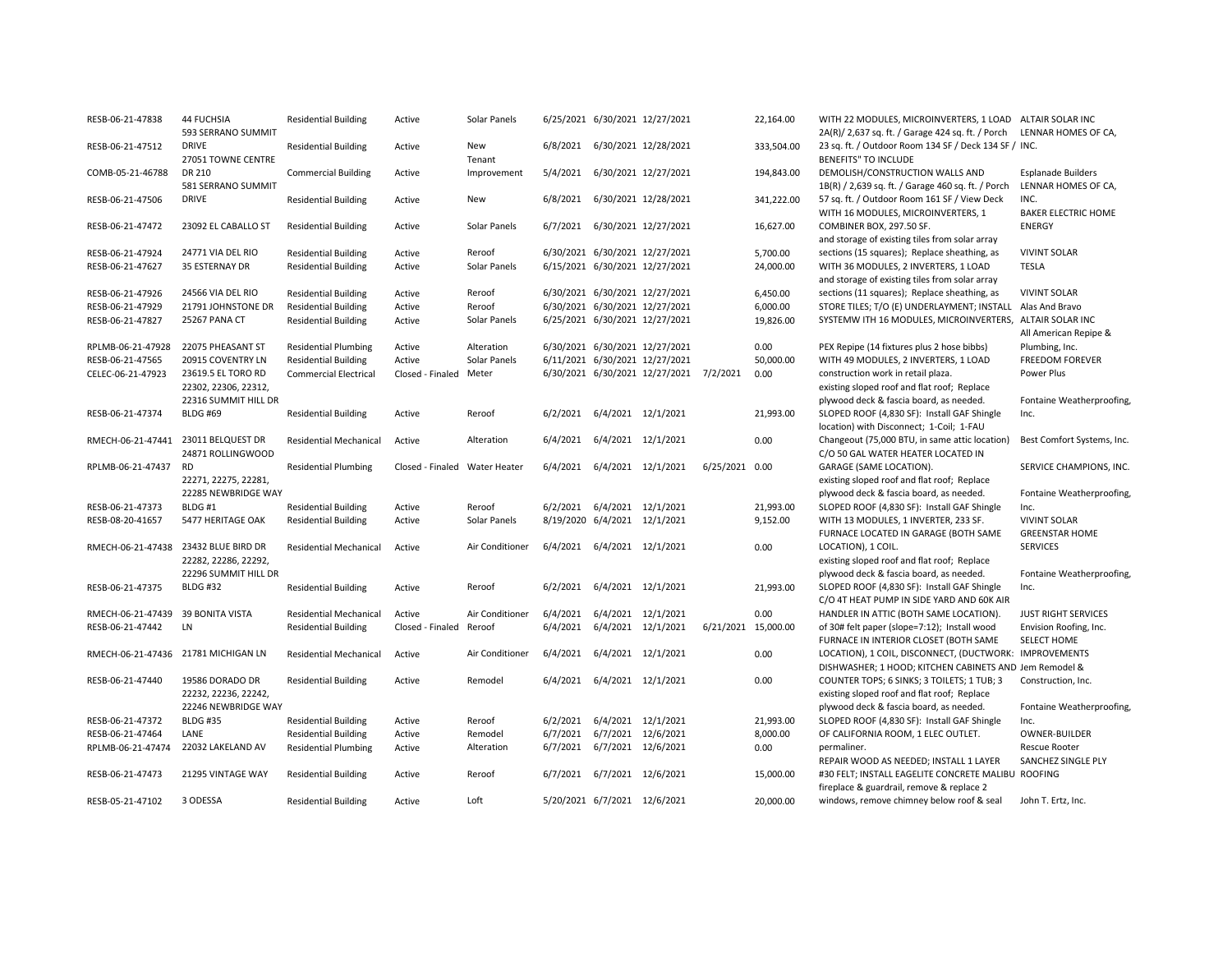| RESB-06-21-47838                    | <b>44 FUCHSIA</b><br>593 SERRANO SUMMIT                      | <b>Residential Building</b>   | Active                        | Solar Panels    |          |                              | 6/25/2021 6/30/2021 12/27/2021          |                     | 22,164.00  | WITH 22 MODULES, MICROINVERTERS, 1 LOAD<br>2A(R)/ 2,637 sq. ft. / Garage 424 sq. ft. / Porch | ALTAIR SOLAR INC<br>LENNAR HOMES OF CA,          |
|-------------------------------------|--------------------------------------------------------------|-------------------------------|-------------------------------|-----------------|----------|------------------------------|-----------------------------------------|---------------------|------------|----------------------------------------------------------------------------------------------|--------------------------------------------------|
| RESB-06-21-47512                    | <b>DRIVE</b><br>27051 TOWNE CENTRE                           | <b>Residential Building</b>   | Active                        | New<br>Tenant   | 6/8/2021 |                              | 6/30/2021 12/28/2021                    |                     | 333,504.00 | 23 sq. ft. / Outdoor Room 134 SF / Deck 134 SF / INC.<br><b>BENEFITS" TO INCLUDE</b>         |                                                  |
| COMB-05-21-46788                    | DR 210<br>581 SERRANO SUMMIT                                 | <b>Commercial Building</b>    | Active                        | Improvement     | 5/4/2021 |                              | 6/30/2021 12/27/2021                    |                     | 194,843.00 | DEMOLISH/CONSTRUCTION WALLS AND<br>1B(R) / 2,639 sq. ft. / Garage 460 sq. ft. / Porch        | <b>Esplanade Builders</b><br>LENNAR HOMES OF CA, |
| RESB-06-21-47506                    | <b>DRIVE</b>                                                 | <b>Residential Building</b>   | Active                        | New             | 6/8/2021 |                              | 6/30/2021 12/28/2021                    |                     | 341,222.00 | 57 sq. ft. / Outdoor Room 161 SF / View Deck<br>WITH 16 MODULES, MICROINVERTERS, 1           | INC.<br><b>BAKER ELECTRIC HOME</b>               |
| RESB-06-21-47472                    | 23092 EL CABALLO ST                                          | <b>Residential Building</b>   | Active                        | Solar Panels    | 6/7/2021 |                              | 6/30/2021 12/27/2021                    |                     | 16,627.00  | COMBINER BOX, 297.50 SF.<br>and storage of existing tiles from solar array                   | <b>ENERGY</b>                                    |
| RESB-06-21-47924                    | 24771 VIA DEL RIO                                            | <b>Residential Building</b>   | Active                        | Reroof          |          |                              | 6/30/2021 6/30/2021 12/27/2021          |                     | 5,700.00   | sections (15 squares); Replace sheathing, as                                                 | <b>VIVINT SOLAR</b>                              |
| RESB-06-21-47627                    | 35 ESTERNAY DR                                               | <b>Residential Building</b>   | Active                        | Solar Panels    |          |                              | 6/15/2021 6/30/2021 12/27/2021          |                     | 24,000.00  | WITH 36 MODULES, 2 INVERTERS, 1 LOAD<br>and storage of existing tiles from solar array       | <b>TESLA</b>                                     |
| RESB-06-21-47926                    | 24566 VIA DEL RIO                                            | <b>Residential Building</b>   | Active                        | Reroof          |          |                              | 6/30/2021 6/30/2021 12/27/2021          |                     | 6,450.00   | sections (11 squares); Replace sheathing, as                                                 | <b>VIVINT SOLAR</b>                              |
| RESB-06-21-47929                    | 21791 JOHNSTONE DR                                           | <b>Residential Building</b>   | Active                        | Reroof          |          |                              | 6/30/2021 6/30/2021 12/27/2021          |                     | 6,000.00   | STORE TILES; T/O (E) UNDERLAYMENT; INSTALL                                                   | Alas And Bravo                                   |
| RESB-06-21-47827                    | 25267 PANA CT                                                | <b>Residential Building</b>   | Active                        | Solar Panels    |          |                              | 6/25/2021 6/30/2021 12/27/2021          |                     | 19,826.00  | SYSTEMW ITH 16 MODULES, MICROINVERTERS,                                                      | ALTAIR SOLAR INC<br>All American Repipe &        |
| RPLMB-06-21-47928                   | 22075 PHEASANT ST                                            | <b>Residential Plumbing</b>   | Active                        | Alteration      |          |                              | 6/30/2021 6/30/2021 12/27/2021          |                     | 0.00       | PEX Repipe (14 fixtures plus 2 hose bibbs)                                                   | Plumbing, Inc.                                   |
| RESB-06-21-47565                    | 20915 COVENTRY LN                                            | <b>Residential Building</b>   | Active                        | Solar Panels    |          |                              | 6/11/2021 6/30/2021 12/27/2021          |                     | 50,000.00  | WITH 49 MODULES, 2 INVERTERS, 1 LOAD                                                         | <b>FREEDOM FOREVER</b>                           |
| CELEC-06-21-47923                   | 23619.5 EL TORO RD                                           | <b>Commercial Electrical</b>  | Closed - Finaled Meter        |                 |          |                              | 6/30/2021 6/30/2021 12/27/2021 7/2/2021 |                     | 0.00       | construction work in retail plaza.                                                           | Power Plus                                       |
|                                     | 22302, 22306, 22312,                                         |                               |                               |                 |          |                              |                                         |                     |            | existing sloped roof and flat roof; Replace                                                  |                                                  |
|                                     | 22316 SUMMIT HILL DR                                         |                               |                               |                 |          |                              |                                         |                     |            | plywood deck & fascia board, as needed.                                                      | Fontaine Weatherproofing,                        |
| RESB-06-21-47374                    | <b>BLDG #69</b>                                              | <b>Residential Building</b>   | Active                        | Reroof          | 6/2/2021 | 6/4/2021 12/1/2021           |                                         |                     | 21,993.00  | SLOPED ROOF (4,830 SF): Install GAF Shingle                                                  | Inc.                                             |
|                                     |                                                              |                               |                               |                 |          |                              |                                         |                     |            | location) with Disconnect; 1-Coil; 1-FAU                                                     |                                                  |
| RMECH-06-21-47441 23011 BELQUEST DR | 24871 ROLLINGWOOD                                            | <b>Residential Mechanical</b> | Active                        | Alteration      | 6/4/2021 | 6/4/2021 12/1/2021           |                                         |                     | 0.00       | Changeout (75,000 BTU, in same attic location)<br>C/O 50 GAL WATER HEATER LOCATED IN         | Best Comfort Systems, Inc.                       |
| RPLMB-06-21-47437                   | RD                                                           | <b>Residential Plumbing</b>   | Closed - Finaled Water Heater |                 | 6/4/2021 | 6/4/2021 12/1/2021           |                                         | 6/25/2021 0.00      |            | GARAGE (SAME LOCATION).                                                                      | SERVICE CHAMPIONS, INC.                          |
|                                     | 22271, 22275, 22281,                                         |                               |                               |                 |          |                              |                                         |                     |            | existing sloped roof and flat roof; Replace                                                  |                                                  |
|                                     | 22285 NEWBRIDGE WAY                                          |                               |                               |                 |          |                              |                                         |                     |            | plywood deck & fascia board, as needed.                                                      | Fontaine Weatherproofing,                        |
| RESB-06-21-47373                    | BLDG#1                                                       | <b>Residential Building</b>   | Active                        | Reroof          | 6/2/2021 | 6/4/2021 12/1/2021           |                                         |                     | 21,993.00  | SLOPED ROOF (4,830 SF): Install GAF Shingle                                                  | Inc.                                             |
| RESB-08-20-41657                    | 5477 HERITAGE OAK                                            | <b>Residential Building</b>   | Active                        | Solar Panels    |          | 8/19/2020 6/4/2021 12/1/2021 |                                         |                     | 9,152.00   | WITH 13 MODULES, 1 INVERTER, 233 SF.                                                         | <b>VIVINT SOLAR</b>                              |
|                                     |                                                              |                               |                               |                 |          | 6/4/2021 12/1/2021           |                                         |                     |            | FURNACE LOCATED IN GARAGE (BOTH SAME                                                         | <b>GREENSTAR HOME</b><br><b>SERVICES</b>         |
|                                     | RMECH-06-21-47438 23432 BLUE BIRD DR<br>22282, 22286, 22292, | <b>Residential Mechanical</b> | Active                        | Air Conditioner | 6/4/2021 |                              |                                         |                     | 0.00       | LOCATION), 1 COIL.<br>existing sloped roof and flat roof; Replace                            |                                                  |
|                                     | 22296 SUMMIT HILL DR                                         |                               |                               |                 |          |                              |                                         |                     |            | plywood deck & fascia board, as needed.                                                      | Fontaine Weatherproofing,                        |
| RESB-06-21-47375                    | <b>BLDG #32</b>                                              | <b>Residential Building</b>   | Active                        | Reroof          | 6/2/2021 | 6/4/2021 12/1/2021           |                                         |                     | 21,993.00  | SLOPED ROOF (4,830 SF): Install GAF Shingle                                                  | Inc.                                             |
|                                     |                                                              |                               |                               |                 |          |                              |                                         |                     |            | C/O 4T HEAT PUMP IN SIDE YARD AND 60K AIR                                                    |                                                  |
| RMECH-06-21-47439                   | <b>39 BONITA VISTA</b>                                       | <b>Residential Mechanical</b> | Active                        | Air Conditioner | 6/4/2021 | 6/4/2021 12/1/2021           |                                         |                     | 0.00       | HANDLER IN ATTIC (BOTH SAME LOCATION).                                                       | <b>JUST RIGHT SERVICES</b>                       |
| RESB-06-21-47442                    | LN                                                           | <b>Residential Building</b>   | Closed - Finaled Reroof       |                 | 6/4/2021 | 6/4/2021 12/1/2021           |                                         | 6/21/2021 15,000.00 |            | of 30# felt paper (slope=7:12); Install wood                                                 | Envision Roofing, Inc.                           |
|                                     |                                                              |                               |                               |                 |          |                              |                                         |                     |            | FURNACE IN INTERIOR CLOSET (BOTH SAME                                                        | <b>SELECT HOME</b>                               |
| RMECH-06-21-47436                   | 21781 MICHIGAN LN                                            | Residential Mechanical        | Active                        | Air Conditioner | 6/4/2021 | 6/4/2021 12/1/2021           |                                         |                     | 0.00       | LOCATION), 1 COIL, DISCONNECT, (DUCTWORK: IMPROVEMENTS                                       |                                                  |
|                                     |                                                              |                               |                               |                 |          |                              |                                         |                     |            | DISHWASHER; 1 HOOD; KITCHEN CABINETS AND Jem Remodel &                                       |                                                  |
| RESB-06-21-47440                    | 19586 DORADO DR                                              | <b>Residential Building</b>   | Active                        | Remodel         | 6/4/2021 | 6/4/2021 12/1/2021           |                                         |                     | 0.00       | COUNTER TOPS; 6 SINKS; 3 TOILETS; 1 TUB; 3                                                   | Construction, Inc.                               |
|                                     | 22232, 22236, 22242,                                         |                               |                               |                 |          |                              |                                         |                     |            | existing sloped roof and flat roof; Replace                                                  |                                                  |
|                                     | 22246 NEWBRIDGE WAY                                          |                               |                               |                 |          |                              |                                         |                     |            | plywood deck & fascia board, as needed.                                                      | Fontaine Weatherproofing,                        |
| RESB-06-21-47372                    | <b>BLDG #35</b>                                              | <b>Residential Building</b>   | Active                        | Reroof          | 6/2/2021 | 6/4/2021 12/1/2021           |                                         |                     | 21,993.00  | SLOPED ROOF (4,830 SF): Install GAF Shingle                                                  | Inc.                                             |
| RESB-06-21-47464                    | LANE                                                         | <b>Residential Building</b>   | Active                        | Remodel         | 6/7/2021 | 6/7/2021 12/6/2021           |                                         |                     | 8,000.00   | OF CALIFORNIA ROOM, 1 ELEC OUTLET.                                                           | OWNER-BUILDER                                    |
| RPLMB-06-21-47474                   | 22032 LAKELAND AV                                            | <b>Residential Plumbing</b>   | Active                        | Alteration      | 6/7/2021 | 6/7/2021 12/6/2021           |                                         |                     | 0.00       | permaliner.                                                                                  | <b>Rescue Rooter</b>                             |
|                                     |                                                              |                               |                               |                 |          |                              |                                         |                     |            | REPAIR WOOD AS NEEDED; INSTALL 1 LAYER                                                       | SANCHEZ SINGLE PLY                               |
| RESB-06-21-47473                    | 21295 VINTAGE WAY                                            | <b>Residential Building</b>   | Active                        | Reroof          | 6/7/2021 | 6/7/2021 12/6/2021           |                                         |                     | 15,000.00  | #30 FELT; INSTALL EAGELITE CONCRETE MALIBU ROOFING                                           |                                                  |
|                                     |                                                              |                               |                               |                 |          |                              |                                         |                     |            | fireplace & guardrail, remove & replace 2                                                    |                                                  |
| RESB-05-21-47102                    | 3 ODESSA                                                     | <b>Residential Building</b>   | Active                        | Loft            |          | 5/20/2021 6/7/2021 12/6/2021 |                                         |                     | 20,000.00  | windows, remove chimney below roof & seal                                                    | John T. Ertz, Inc.                               |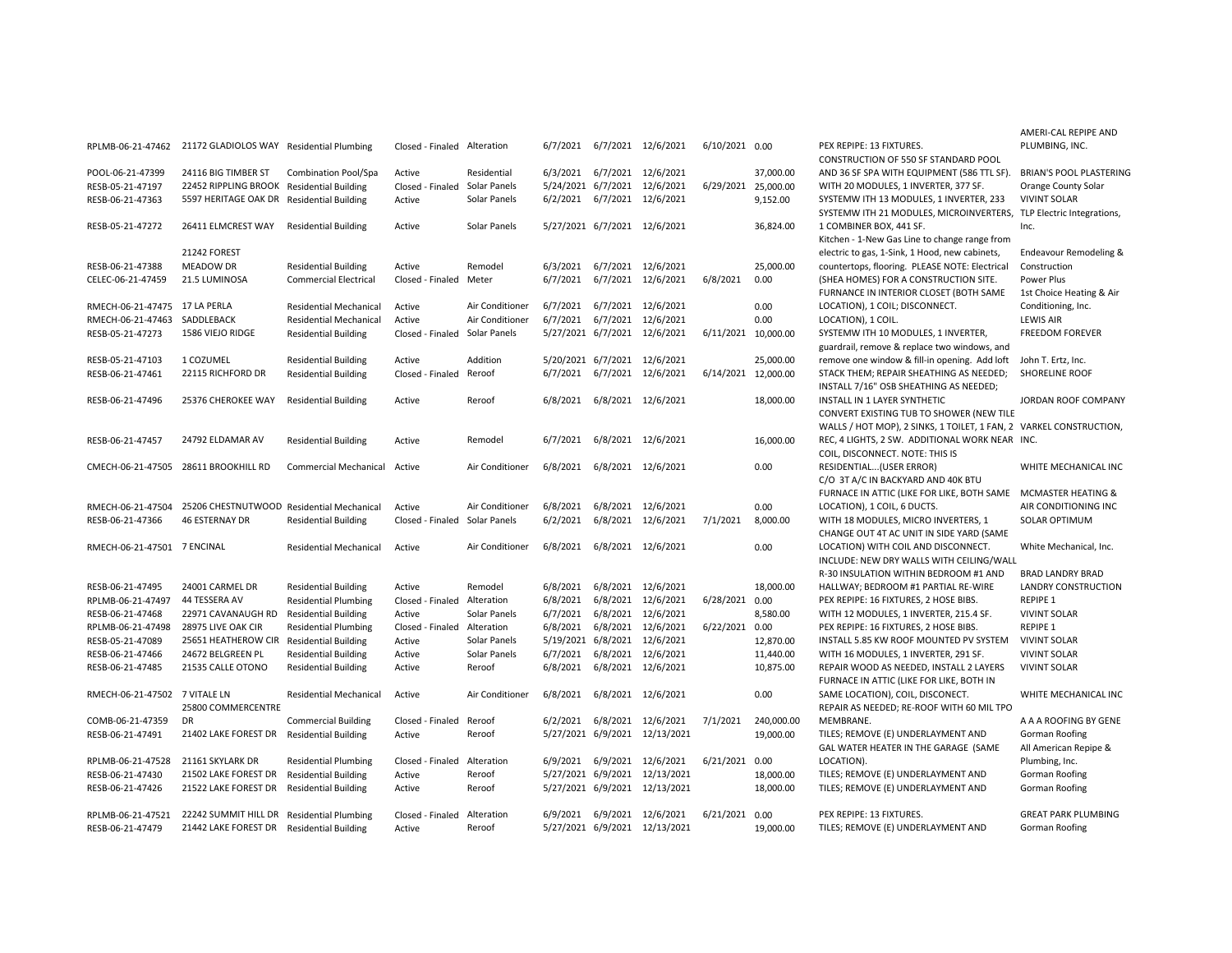|                                      | RPLMB-06-21-47462 21172 GLADIOLOS WAY Residential Plumbing |                               | Closed - Finaled Alteration   |                 |          |                              | 6/7/2021 6/7/2021 12/6/2021   | 6/10/2021 0.00      |            | PEX REPIPE: 13 FIXTURES.<br>CONSTRUCTION OF 550 SF STANDARD POOL  | PLUMBING, INC.                |
|--------------------------------------|------------------------------------------------------------|-------------------------------|-------------------------------|-----------------|----------|------------------------------|-------------------------------|---------------------|------------|-------------------------------------------------------------------|-------------------------------|
| POOL-06-21-47399                     | 24116 BIG TIMBER ST                                        | Combination Pool/Spa          | Active                        | Residential     |          | 6/3/2021 6/7/2021 12/6/2021  |                               |                     | 37,000.00  | AND 36 SF SPA WITH EQUIPMENT (586 TTL SF).                        | <b>BRIAN'S POOL PLASTER</b>   |
| RESB-05-21-47197                     | 22452 RIPPLING BROOK Residential Building                  |                               | Closed - Finaled Solar Panels |                 |          |                              | 5/24/2021 6/7/2021 12/6/2021  | 6/29/2021 25,000.00 |            | WITH 20 MODULES, 1 INVERTER, 377 SF.                              | Orange County Solar           |
| RESB-06-21-47363                     | 5597 HERITAGE OAK DR Residential Building                  |                               | Active                        | Solar Panels    |          | 6/2/2021 6/7/2021 12/6/2021  |                               |                     | 9,152.00   | SYSTEMW ITH 13 MODULES, 1 INVERTER, 233                           | <b>VIVINT SOLAR</b>           |
|                                      |                                                            |                               |                               |                 |          |                              |                               |                     |            | SYSTEMW ITH 21 MODULES, MICROINVERTERS, TLP Electric Integrations |                               |
| RESB-05-21-47272                     | 26411 ELMCREST WAY                                         | <b>Residential Building</b>   | Active                        | Solar Panels    |          |                              | 5/27/2021 6/7/2021 12/6/2021  |                     | 36,824.00  | 1 COMBINER BOX, 441 SF.                                           | Inc.                          |
|                                      |                                                            |                               |                               |                 |          |                              |                               |                     |            | Kitchen - 1-New Gas Line to change range from                     |                               |
|                                      | 21242 FOREST                                               |                               |                               |                 |          |                              |                               |                     |            | electric to gas, 1-Sink, 1 Hood, new cabinets,                    | <b>Endeavour Remodeling</b>   |
| RESB-06-21-47388                     | <b>MEADOW DR</b>                                           |                               | Active                        | Remodel         |          | 6/3/2021 6/7/2021 12/6/2021  |                               |                     | 25,000.00  | countertops, flooring. PLEASE NOTE: Electrical                    | Construction                  |
|                                      | 21.5 LUMINOSA                                              | <b>Residential Building</b>   |                               |                 |          |                              | 6/7/2021 6/7/2021 12/6/2021   | 6/8/2021            | 0.00       | (SHEA HOMES) FOR A CONSTRUCTION SITE.                             | Power Plus                    |
| CELEC-06-21-47459                    |                                                            | <b>Commercial Electrical</b>  | Closed - Finaled Meter        |                 |          |                              |                               |                     |            | FURNANCE IN INTERIOR CLOSET (BOTH SAME                            |                               |
|                                      |                                                            |                               |                               |                 |          | 6/7/2021 6/7/2021 12/6/2021  |                               |                     | 0.00       |                                                                   | 1st Choice Heating & Ai       |
| RMECH-06-21-47475 17 LA PERLA        |                                                            | <b>Residential Mechanical</b> | Active                        | Air Conditioner |          |                              |                               |                     |            | LOCATION), 1 COIL; DISCONNECT.                                    | Conditioning, Inc.            |
| RMECH-06-21-47463                    | SADDLEBACK                                                 | <b>Residential Mechanical</b> | Active                        | Air Conditioner |          |                              | 6/7/2021 6/7/2021 12/6/2021   |                     | 0.00       | LOCATION), 1 COIL.                                                | <b>LEWIS AIR</b>              |
| RESB-05-21-47273                     | 1586 VIEJO RIDGE                                           | <b>Residential Building</b>   | Closed - Finaled Solar Panels |                 |          |                              | 5/27/2021 6/7/2021 12/6/2021  | 6/11/2021           | 10,000.00  | SYSTEMW ITH 10 MODULES, 1 INVERTER,                               | <b>FREEDOM FOREVER</b>        |
|                                      |                                                            |                               |                               |                 |          |                              |                               |                     |            | guardrail, remove & replace two windows, and                      |                               |
| RESB-05-21-47103                     | 1 COZUMEL                                                  | <b>Residential Building</b>   | Active                        | Addition        |          | 5/20/2021 6/7/2021 12/6/2021 |                               |                     | 25,000.00  | remove one window & fill-in opening. Add loft                     | John T. Ertz, Inc.            |
| RESB-06-21-47461                     | 22115 RICHFORD DR                                          | <b>Residential Building</b>   | Closed - Finaled Reroof       |                 |          |                              | 6/7/2021 6/7/2021 12/6/2021   | 6/14/2021 12,000.00 |            | STACK THEM; REPAIR SHEATHING AS NEEDED;                           | <b>SHORELINE ROOF</b>         |
|                                      |                                                            |                               |                               |                 |          |                              |                               |                     |            | INSTALL 7/16" OSB SHEATHING AS NEEDED;                            |                               |
| RESB-06-21-47496                     | 25376 CHEROKEE WAY                                         | <b>Residential Building</b>   | Active                        | Reroof          |          |                              | 6/8/2021 6/8/2021 12/6/2021   |                     | 18,000.00  | INSTALL IN 1 LAYER SYNTHETIC                                      | JORDAN ROOF COMPAN            |
|                                      |                                                            |                               |                               |                 |          |                              |                               |                     |            | CONVERT EXISTING TUB TO SHOWER (NEW TILE                          |                               |
|                                      |                                                            |                               |                               |                 |          |                              |                               |                     |            | WALLS / HOT MOP), 2 SINKS, 1 TOILET, 1 FAN, 2 VARKEL CONSTRUCTION |                               |
| RESB-06-21-47457                     | 24792 ELDAMAR AV                                           | <b>Residential Building</b>   | Active                        | Remodel         |          |                              | 6/7/2021 6/8/2021 12/6/2021   |                     | 16,000.00  | REC, 4 LIGHTS, 2 SW. ADDITIONAL WORK NEAR INC.                    |                               |
|                                      |                                                            |                               |                               |                 |          |                              |                               |                     |            | COIL, DISCONNECT. NOTE: THIS IS                                   |                               |
| CMECH-06-21-47505 28611 BROOKHILL RD |                                                            | <b>Commercial Mechanical</b>  | Active                        | Air Conditioner |          |                              | 6/8/2021 6/8/2021 12/6/2021   |                     | 0.00       | RESIDENTIAL (USER ERROR)                                          | WHITE MECHANICAL IN           |
|                                      |                                                            |                               |                               |                 |          |                              |                               |                     |            | C/O 3T A/C IN BACKYARD AND 40K BTU                                |                               |
|                                      |                                                            |                               |                               |                 |          |                              |                               |                     |            | FURNACE IN ATTIC (LIKE FOR LIKE, BOTH SAME                        | <b>MCMASTER HEATING &amp;</b> |
| RMECH-06-21-47504                    | 25206 CHESTNUTWOOD Residential Mechanical                  |                               | Active                        | Air Conditioner |          | 6/8/2021 6/8/2021 12/6/2021  |                               |                     | 0.00       | LOCATION), 1 COIL, 6 DUCTS.                                       | AIR CONDITIONING INC          |
| RESB-06-21-47366                     | <b>46 ESTERNAY DR</b>                                      | <b>Residential Building</b>   | Closed - Finaled Solar Panels |                 | 6/2/2021 |                              | 6/8/2021 12/6/2021            | 7/1/2021            | 8,000.00   | WITH 18 MODULES, MICRO INVERTERS, 1                               | SOLAR OPTIMUM                 |
|                                      |                                                            |                               |                               |                 |          |                              |                               |                     |            | CHANGE OUT 4T AC UNIT IN SIDE YARD (SAME                          |                               |
| RMECH-06-21-47501 7 ENCINAL          |                                                            | <b>Residential Mechanical</b> | Active                        | Air Conditioner |          |                              | 6/8/2021 6/8/2021 12/6/2021   |                     | 0.00       | LOCATION) WITH COIL AND DISCONNECT.                               | White Mechanical, Inc.        |
|                                      |                                                            |                               |                               |                 |          |                              |                               |                     |            | INCLUDE: NEW DRY WALLS WITH CEILING/WALL                          |                               |
|                                      |                                                            |                               |                               |                 |          |                              |                               |                     |            | R-30 INSULATION WITHIN BEDROOM #1 AND                             | <b>BRAD LANDRY BRAD</b>       |
| RESB-06-21-47495                     | 24001 CARMEL DR                                            | <b>Residential Building</b>   | Active                        | Remodel         |          |                              | 6/8/2021 6/8/2021 12/6/2021   |                     | 18,000.00  | HALLWAY; BEDROOM #1 PARTIAL RE-WIRE                               | <b>LANDRY CONSTRUCTIO</b>     |
| RPLMB-06-21-47497                    | 44 TESSERA AV                                              | <b>Residential Plumbing</b>   | Closed - Finaled Alteration   |                 |          |                              | 6/8/2021 6/8/2021 12/6/2021   | 6/28/2021 0.00      |            | PEX REPIPE: 16 FIXTURES, 2 HOSE BIBS.                             | <b>REPIPE 1</b>               |
| RESB-06-21-47468                     | 22971 CAVANAUGH RD                                         | <b>Residential Building</b>   | Active                        | Solar Panels    |          |                              | 6/7/2021 6/8/2021 12/6/2021   |                     | 8,580.00   | WITH 12 MODULES, 1 INVERTER, 215.4 SF.                            | <b>VIVINT SOLAR</b>           |
| RPLMB-06-21-47498                    | 28975 LIVE OAK CIR                                         | <b>Residential Plumbing</b>   | Closed - Finaled Alteration   |                 |          |                              | 6/8/2021 6/8/2021 12/6/2021   | 6/22/2021           | 0.00       | PEX REPIPE: 16 FIXTURES, 2 HOSE BIBS.                             | <b>REPIPE 1</b>               |
| RESB-05-21-47089                     | 25651 HEATHEROW CIR Residential Building                   |                               | Active                        | Solar Panels    |          |                              | 5/19/2021 6/8/2021 12/6/2021  |                     | 12.870.00  | INSTALL 5.85 KW ROOF MOUNTED PV SYSTEM                            | <b>VIVINT SOLAR</b>           |
| RESB-06-21-47466                     | 24672 BELGREEN PL                                          | <b>Residential Building</b>   | Active                        | Solar Panels    | 6/7/2021 |                              | 6/8/2021 12/6/2021            |                     | 11,440.00  | WITH 16 MODULES, 1 INVERTER, 291 SF.                              | <b>VIVINT SOLAR</b>           |
| RESB-06-21-47485                     | 21535 CALLE OTONO                                          | <b>Residential Building</b>   | Active                        | Reroof          |          |                              | 6/8/2021 6/8/2021 12/6/2021   |                     | 10,875.00  | REPAIR WOOD AS NEEDED, INSTALL 2 LAYERS                           | <b>VIVINT SOLAR</b>           |
|                                      |                                                            |                               |                               |                 |          |                              |                               |                     |            | FURNACE IN ATTIC (LIKE FOR LIKE, BOTH IN                          |                               |
| RMECH-06-21-47502 7 VITALE LN        |                                                            | <b>Residential Mechanical</b> | Active                        | Air Conditioner | 6/8/2021 |                              | 6/8/2021 12/6/2021            |                     | 0.00       | SAME LOCATION), COIL, DISCONECT.                                  | WHITE MECHANICAL IN           |
|                                      | 25800 COMMERCENTRE                                         |                               |                               |                 |          |                              |                               |                     |            | REPAIR AS NEEDED; RE-ROOF WITH 60 MIL TPO                         |                               |
| COMB-06-21-47359                     | DR                                                         | <b>Commercial Building</b>    | Closed - Finaled Reroof       |                 |          |                              | 6/2/2021 6/8/2021 12/6/2021   | 7/1/2021            | 240,000.00 | MEMBRANE.                                                         | A A A ROOFING BY GEN          |
| RESB-06-21-47491                     | 21402 LAKE FOREST DR Residential Building                  |                               | Active                        | Reroof          |          |                              | 5/27/2021 6/9/2021 12/13/2021 |                     | 19,000.00  | TILES; REMOVE (E) UNDERLAYMENT AND                                | Gorman Roofing                |
|                                      |                                                            |                               |                               |                 |          |                              |                               |                     |            | GAL WATER HEATER IN THE GARAGE (SAME                              | All American Repipe &         |
| RPLMB-06-21-47528                    | 21161 SKYLARK DR                                           | <b>Residential Plumbing</b>   | Closed - Finaled              | Alteration      |          |                              | 6/9/2021 6/9/2021 12/6/2021   | 6/21/2021           | 0.00       | LOCATION).                                                        | Plumbing, Inc.                |
|                                      | 21502 LAKE FOREST DR                                       |                               |                               |                 |          |                              |                               |                     |            |                                                                   |                               |
| RESB-06-21-47430                     |                                                            | <b>Residential Building</b>   | Active                        | Reroof          |          |                              | 5/27/2021 6/9/2021 12/13/2021 |                     | 18,000.00  | TILES; REMOVE (E) UNDERLAYMENT AND                                | Gorman Roofing                |
| RESB-06-21-47426                     | 21522 LAKE FOREST DR                                       | <b>Residential Building</b>   | Active                        | Reroof          |          |                              | 5/27/2021 6/9/2021 12/13/2021 |                     | 18,000.00  | TILES; REMOVE (E) UNDERLAYMENT AND                                | Gorman Roofing                |
|                                      |                                                            |                               |                               |                 |          |                              |                               |                     |            |                                                                   |                               |
| RPLMB-06-21-47521                    | 22242 SUMMIT HILL DR Residential Plumbing                  |                               | Closed - Finaled Alteration   |                 |          |                              | 6/9/2021 6/9/2021 12/6/2021   | 6/21/2021 0.00      |            | PEX REPIPE: 13 FIXTURES.                                          | <b>GREAT PARK PLUMBING</b>    |
| RESB-06-21-47479                     | 21442 LAKE FOREST DR Residential Building                  |                               | Active                        | Reroof          |          |                              | 5/27/2021 6/9/2021 12/13/2021 |                     | 19,000.00  | TILES; REMOVE (E) UNDERLAYMENT AND                                | Gorman Roofing                |

AMERI-CAL REPIPE AND PLUMBING, INC. **DF 550 SF STANDARD POOL** ITH EQUIPMENT (586 TTL SF). BRIAN'S POOL PLASTERING S, 1 INVERTER, 377 SF. Orange County Solar MODULES, 1 INVERTER, 233 VIVINT SOLAR SYSTEMW ITH 21 MODULES, MICROINVERTERS, TLP Electric Integrations, 441 SF. Inc. as Line to change range from ink, 1 Hood, new cabinets, ing. PLEASE NOTE: Electrical Endeavour Remodeling & Construction R A CONSTRUCTION SITE. Power Plus **ERIOR CLOSET (BOTH SAME** L: DISCONNECT. 1st Choice Heating & Air Conditioning, Inc. LEWIS AIR MODULES, 1 INVERTER, FREEDOM FOREVER & replace two windows, and bw & fill-in opening. Add loft John T. Ertz, Inc. AIR SHEATHING AS NEEDED; SHORELINE ROOF **B SHEATHING AS NEEDED;** INSTALLER SYNTHETIC **IN 10 JORDAN ROOF COMPANY G TUB TO SHOWER (NEW TILE** WALLS / HOT MOP), 2 SINKS, 1 TOILET, 1 FAN, 2 VARKEL CONSTRUCTION, REC, 4 LIGHTS, 2 SW. ADDITIONAL WORK NEAR INC. T. NOTE: THIS IS FEREST ERROR) WHITE MECHANICAL INC CKYARD AND 40K BTU FURNACE IN ATTIC (LIKE FOR LIKE, BOTH SAME MCMASTER HEATING & L, 6 DUCTS. AIR CONDITIONING INC S, MICRO INVERTERS, 1 SOLAR OPTIMUM C UNIT IN SIDE YARD (SAME COIL AND DISCONNECT. White Mechanical, Inc. IY WALLS WITH CEILING/WALL WITHIN BEDROOM #1 AND OM #1 PARTIAL RE-WIRE BRAD LANDRY BRAD LANDRY CONSTRUCTION ES. 1 INVERTER, 215.4 SF. VIVINT SOLAR ROOF MOUNTED PV SYSTEM VIVINT SOLAR S, 1 INVERTER, 291 SF. VIVINT SOLAR NEEDED, INSTALL 2 LAYERS VIVINT SOLAR **CILIKE FOR LIKE, BOTH IN** COIL, DISCONECT. WHITE MECHANICAL INC D; RE-ROOF WITH 60 MIL TPO A A A ROOFING BY GENE UNDERLAYMENT AND Gorman Roofing ER IN THE GARAGE (SAME All American Repipe & Plumbing, Inc. UNDERLAYMENT AND Gorman Roofing UNDERLAYMENT AND Gorman Roofing

## UNDERLAYMENT AND Gorman Roofing